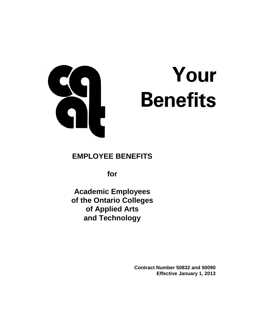

# Your **Benefits**

## **EMPLOYEE BENEFITS**

**for**

**Academic Employees of the Ontario Colleges of Applied Arts and Technology**

> **Contract Number 50832 and 50090 Effective January 1, 2013**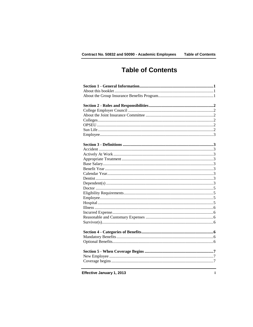# **Table of Contents**

Effective January 1, 2013

 $\mathbf i$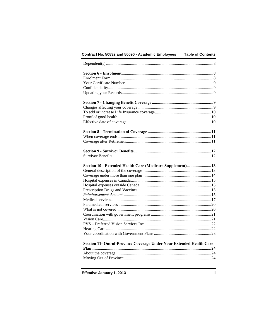| Contract No. 50832 and 50090 - Academic Employees                    |  |
|----------------------------------------------------------------------|--|
|                                                                      |  |
|                                                                      |  |
|                                                                      |  |
|                                                                      |  |
|                                                                      |  |
|                                                                      |  |
|                                                                      |  |
|                                                                      |  |
|                                                                      |  |
|                                                                      |  |
|                                                                      |  |
|                                                                      |  |
|                                                                      |  |
|                                                                      |  |
|                                                                      |  |
|                                                                      |  |
| Section 10 - Extended Health Care (Medicare Supplement) 13           |  |
|                                                                      |  |
|                                                                      |  |
|                                                                      |  |
|                                                                      |  |
|                                                                      |  |
|                                                                      |  |
|                                                                      |  |
|                                                                      |  |
|                                                                      |  |
|                                                                      |  |
|                                                                      |  |
|                                                                      |  |
|                                                                      |  |
|                                                                      |  |
|                                                                      |  |
|                                                                      |  |
| Section 11- Out-of-Province Coverage Under Your Extended Health Care |  |
|                                                                      |  |

Effective January 1, 2013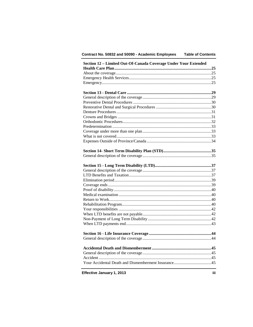#### Contract No. 50832 and 50090 - Academic Employees **Table of Contents**

| Section 12 - Limited Out-Of-Canada Coverage Under Your Extended |      |
|-----------------------------------------------------------------|------|
|                                                                 |      |
|                                                                 |      |
|                                                                 |      |
|                                                                 |      |
|                                                                 |      |
|                                                                 |      |
|                                                                 |      |
|                                                                 |      |
|                                                                 |      |
|                                                                 |      |
|                                                                 |      |
|                                                                 |      |
|                                                                 |      |
|                                                                 |      |
|                                                                 |      |
|                                                                 |      |
|                                                                 |      |
|                                                                 |      |
|                                                                 |      |
|                                                                 |      |
|                                                                 |      |
|                                                                 |      |
|                                                                 |      |
|                                                                 |      |
|                                                                 |      |
|                                                                 |      |
|                                                                 |      |
|                                                                 |      |
|                                                                 |      |
|                                                                 |      |
|                                                                 |      |
|                                                                 |      |
|                                                                 |      |
|                                                                 | .45  |
|                                                                 |      |
|                                                                 |      |
|                                                                 |      |
| Effective January 1, 2013                                       | iii. |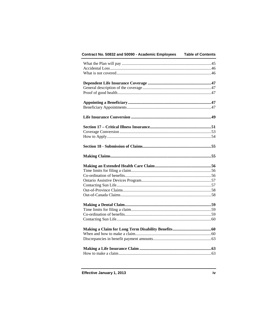| Contract No. 50832 and 50090 - Academic Employees | <b>Table of Contents</b> |
|---------------------------------------------------|--------------------------|
|                                                   |                          |
|                                                   |                          |
|                                                   |                          |
|                                                   |                          |
|                                                   |                          |
|                                                   |                          |
|                                                   |                          |
|                                                   |                          |
|                                                   |                          |
|                                                   |                          |
|                                                   |                          |
|                                                   |                          |
|                                                   |                          |
|                                                   |                          |
|                                                   |                          |
|                                                   |                          |
|                                                   |                          |
|                                                   |                          |
|                                                   |                          |
|                                                   |                          |
|                                                   |                          |
|                                                   |                          |
|                                                   |                          |
|                                                   |                          |
|                                                   |                          |
|                                                   |                          |
|                                                   |                          |
|                                                   |                          |
|                                                   |                          |
|                                                   |                          |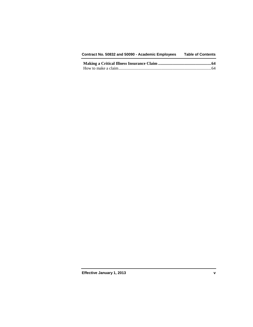| Contract No. 50832 and 50090 - Academic Employees | <b>Table of Contents</b> |
|---------------------------------------------------|--------------------------|
|---------------------------------------------------|--------------------------|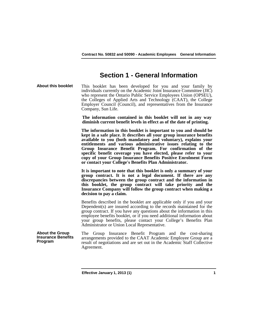## **Section 1 - General Information**

**About this booklet** This booklet has been developed for you and your family by individuals currently on the Academic Joint Insurance Committee (JIC) who represent the Ontario Public Service Employees Union (OPSEU), the Colleges of Applied Arts and Technology (CAAT), the College Employer Council (Council), and representatives from the Insurance Company, Sun Life.

> **The information contained in this booklet will not in any way diminish current benefit levels in effect as of the date of printing.**

> **The information in this booklet is important to you and should be kept in a safe place. It describes all your group insurance benefits available to you (both mandatory and voluntary), explains your entitlements and various administrative issues relating to the Group Insurance Benefit Program. For confirmation of the specific benefit coverage you have elected, please refer to your copy of your Group Insurance Benefits Positive Enrolment Form or contact your College's Benefits Plan Administrator.**

> **It is important to note that this booklet is only a summary of your group contract. It is not a legal document. If there are any discrepancies between the group contract and the information in this booklet, the group contract will take priority and the Insurance Company will follow the group contract when making a decision to pay a claim.**

> Benefits described in the booklet are applicable only if you and your Dependent(s) are insured according to the records maintained for the group contract. If you have any questions about the information in this employee benefits booklet, or if you need additional information about your group benefits, please contact your College's Benefits Plan Administrator or Union Local Representative.

**About the Group Insurance Benefits Program** The Group Insurance Benefit Program and the cost-sharing arrangements provided to the CAAT Academic Employee Group are a result of negotiations and are set out in the Academic Staff Collective Agreement.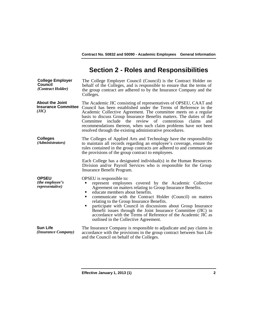## **Section 2 - Roles and Responsibilities**

**College Employer Council** *(Contract Holder)* The College Employer Council (Council) is the Contract Holder on behalf of the Colleges, and is responsible to ensure that the terms of the group contract are adhered to by the Insurance Company and the Colleges. **About the Joint Insurance Committee** *(JIC)* The Academic JIC consisting of representatives of OPSEU, CAAT and Council has been established under the Terms of Reference in the Academic Collective Agreement. The committee meets on a regular basis to discuss Group Insurance Benefits matters. The duties of the Committee include the review of contentious claims and recommendations thereon, when such claim problems have not been resolved through the existing administrative procedures. **Colleges** The Colleges of Applied Arts and Technology have the responsibility to maintain all records regarding an employee's coverage, ensure the rules contained in the group contracts are adhered to and communicate the provisions of the group contract to employees. Each College has a designated individual(s) in the Human Resources Division and/or Payroll Services who is responsible for the Group Insurance Benefit Program. **OPSEU**  *(the employee's representative)*  OPSEU is responsible to: represent employees covered by the Academic Collective Agreement on matters relating to Group Insurance Benefits. educate members about benefits.<br>
communicate with the Contract communicate with the Contract Holder (Council) on matters relating to the Group Insurance Benefits. participate with Council in discussions about Group Insurance Benefit issues through the Joint Insurance Committee (JIC) in accordance with the Terms of Reference of the Academic JIC as outlined in the Collective Agreement. **Sun Life**<br>(*Insurance Company*) The Insurance Company is responsible to adjudicate and pay claims in accordance with the provisions in the group contract between Sun Life and the Council on behalf of the Colleges.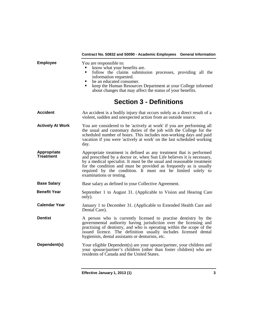|                          | Contract No. 50832 and 50090 - Academic Employees General Information                                                                                                                                                                                                                                                                                                                    |
|--------------------------|------------------------------------------------------------------------------------------------------------------------------------------------------------------------------------------------------------------------------------------------------------------------------------------------------------------------------------------------------------------------------------------|
| <b>Employee</b>          | You are responsible to:<br>know what your benefits are.<br>follow the claims submission processes, providing all the<br>٠<br>information requested.<br>be an educated consumer.<br>keep the Human Resources Department at your College informed<br>about changes that may affect the status of your benefits.                                                                            |
|                          | <b>Section 3 - Definitions</b>                                                                                                                                                                                                                                                                                                                                                           |
| <b>Accident</b>          | An accident is a bodily injury that occurs solely as a direct result of a<br>violent, sudden and unexpected action from an outside source.                                                                                                                                                                                                                                               |
| <b>Actively At Work</b>  | You are considered to be 'actively at work' if you are performing all<br>the usual and customary duties of the job with the College for the<br>scheduled number of hours. This includes non-working days and paid<br>vacation if you were 'actively at work' on the last scheduled working<br>day.                                                                                       |
| Appropriate<br>Treatment | Appropriate treatment is defined as any treatment that is performed<br>and prescribed by a doctor or, when Sun Life believes it is necessary,<br>by a medical specialist. It must be the usual and reasonable treatment<br>for the condition and must be provided as frequently as is usually<br>required by the condition. It must not be limited solely to<br>examinations or testing. |
| <b>Base Salary</b>       | Base salary as defined in your Collective Agreement.                                                                                                                                                                                                                                                                                                                                     |
| <b>Benefit Year</b>      | September 1 to August 31. (Applicable to Vision and Hearing Care<br>only).                                                                                                                                                                                                                                                                                                               |
| <b>Calendar Year</b>     | January 1 to December 31. (Applicable to Extended Health Care and<br>Dental Care).                                                                                                                                                                                                                                                                                                       |
| <b>Dentist</b>           | A person who is currently licensed to practise dentistry by the<br>governmental authority having jurisdiction over the licensing and<br>practising of dentistry, and who is operating within the scope of the<br>issued licence. The definition usually includes licensed dental<br>hygienists, dental assistants or denturists, etc.                                                    |
| Dependent(s)             | Your eligible Dependent(s) are your spouse/partner, your children and<br>your spouse/partner's children (other than foster children) who are<br>residents of Canada and the United States.                                                                                                                                                                                               |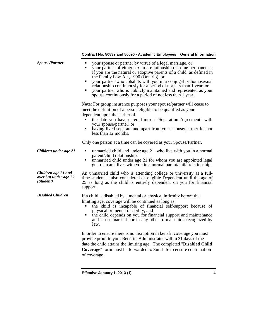| <b>Spouse/Partner</b>                                     | your spouse or partner by virtue of a legal marriage, or<br>٠<br>your partner of either sex in a relationship of some permanence,<br>٠<br>if you are the natural or adoptive parents of a child, as defined in<br>the Family Law Act, 1990 (Ontario), or<br>your partner who cohabits with you in a conjugal or homosexual<br>٠<br>relationship continuously for a period of not less than 1 year, or<br>your partner who is publicly maintained and represented as your<br>٠<br>spouse continuously for a period of not less than 1 year. |
|-----------------------------------------------------------|--------------------------------------------------------------------------------------------------------------------------------------------------------------------------------------------------------------------------------------------------------------------------------------------------------------------------------------------------------------------------------------------------------------------------------------------------------------------------------------------------------------------------------------------|
|                                                           | Note: For group insurance purposes your spouse/partner will cease to<br>meet the definition of a person eligible to be qualified as your<br>dependent upon the earlier of:<br>the date you have entered into a "Separation Agreement" with<br>your spouse/partner; or<br>having lived separate and apart from your spouse/partner for not<br>less than 12 months.                                                                                                                                                                          |
|                                                           | Only one person at a time can be covered as your Spouse/Partner.                                                                                                                                                                                                                                                                                                                                                                                                                                                                           |
| Children under age 21                                     | unmarried child and under age 21, who live with you in a normal<br>٠<br>parent/child relationship.<br>unmarried child under age 21 for whom you are appointed legal<br>٠<br>guardian and lives with you in a normal parent/child relationship.                                                                                                                                                                                                                                                                                             |
| Children age 21 and<br>over but under age 25<br>(Student) | An unmarried child who is attending college or university as a full-<br>time student is also considered an eligible Dependent until the age of<br>25 as long as the child is entirely dependent on you for financial<br>support.                                                                                                                                                                                                                                                                                                           |
| <b>Disabled Children</b>                                  | If a child is disabled by a mental or physical infirmity before the<br>limiting age, coverage will be continued as long as:<br>the child is incapable of financial self-support because of<br>٠<br>physical or mental disability, and<br>the child depends on you for financial support and maintenance<br>and is not married nor in any other formal union recognized by<br>law.                                                                                                                                                          |
|                                                           | In order to ensure there is no disruption in benefit coverage you must<br>provide proof to your Benefits Administrator within 31 days of the<br>date the child attains the limiting age. The completed "Disabled Child<br><b>Coverage</b> " form must be forwarded to Sun Life to ensure continuation<br>of coverage.                                                                                                                                                                                                                      |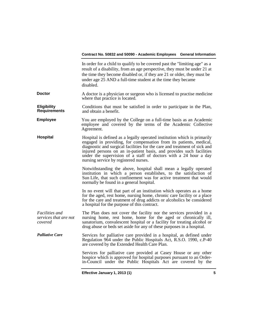|                                                           | In order for a child to qualify to be covered past the "limiting age" as a<br>result of a disability, from an age perspective, they must be under 21 at<br>the time they become disabled or, if they are 21 or older, they must be<br>under age 25 AND a full-time student at the time they became<br>disabled.                                                                                                  |
|-----------------------------------------------------------|------------------------------------------------------------------------------------------------------------------------------------------------------------------------------------------------------------------------------------------------------------------------------------------------------------------------------------------------------------------------------------------------------------------|
| <b>Doctor</b>                                             | A doctor is a physician or surgeon who is licensed to practise medicine<br>where that practice is located.                                                                                                                                                                                                                                                                                                       |
| <b>Eligibility</b><br><b>Requirements</b>                 | Conditions that must be satisfied in order to participate in the Plan,<br>and obtain a benefit.                                                                                                                                                                                                                                                                                                                  |
| <b>Employee</b>                                           | You are employed by the College on a full-time basis as an Academic<br>employee and covered by the terms of the Academic Collective<br>Agreement.                                                                                                                                                                                                                                                                |
| Hospital                                                  | Hospital is defined as a legally operated institution which is primarily<br>engaged in providing, for compensation from its patients, medical,<br>diagnostic and surgical facilities for the care and treatment of sick and<br>injured persons on an in-patient basis, and provides such facilities<br>under the supervision of a staff of doctors with a 24 hour a day<br>nursing service by registered nurses. |
|                                                           | Notwithstanding the above, hospital shall mean a legally operated<br>institution in which a person establishes, to the satisfaction of<br>Sun Life, that such confinement was for active treatment that would<br>normally be found in a general hospital.                                                                                                                                                        |
|                                                           | In no event will that part of an institution which operates as a home<br>for the aged, rest home, nursing home, chronic care facility or a place<br>for the care and treatment of drug addicts or alcoholics be considered<br>a hospital for the purpose of this contract.                                                                                                                                       |
| <i>Facilities and</i><br>services that are not<br>covered | The Plan does not cover the facility nor the services provided in a<br>nursing home, rest home, home for the aged or chronically ill,<br>sanatorium, convalescent hospital or a facility for treating alcohol or<br>drug abuse or beds set aside for any of these purposes in a hospital.                                                                                                                        |
| <b>Palliative Care</b>                                    | Services for palliative care provided in a hospital, as defined under<br>Regulation 964 under the Public Hospitals Act, R.S.O. 1990, c.P-40<br>are covered by the Extended Health Care Plan.                                                                                                                                                                                                                     |
|                                                           | Services for palliative care provided at Casey House or any other<br>hospice which is approved for hospital purposes pursuant to an Order-<br>in-Council under the Public Hospitals Act are covered by the                                                                                                                                                                                                       |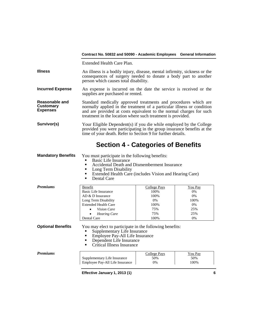Extended Health Care Plan.

- **Illness** An illness is a bodily injury, disease, mental infirmity, sickness or the consequences of surgery needed to donate a body part to another person which causes total disability.
- **Incurred Expense** An expense is incurred on the date the service is received or the supplies are purchased or rented.
- **Reasonable and Customary Expenses** Standard medically approved treatments and procedures which are normally applied in the treatment of a particular illness or condition and are provided at costs equivalent to the normal charges for such treatment in the location where such treatment is provided.
- **Survivor(s)** Your Eligible Dependent(s) if you die while employed by the College provided you were participating in the group insurance benefits at the time of your death. Refer to Section 9 for further details.

## **Section 4 - Categories of Benefits**

**Mandatory Benefits** You must participate in the following benefits:

- **Basic Life Insurance**
- Accidental Death and Dismemberment Insurance<br>• Long Term Disability
- Long Term Disability
- Extended Health Care (includes Vision and Hearing Care)
- Dental Care

| <b>Premiums</b> | Benefit                     | College Pays | You Pay |
|-----------------|-----------------------------|--------------|---------|
|                 | Basic Life Insurance        | 100%         | $0\%$   |
|                 | $AD & D$ Insurance          | 100%         | $0\%$   |
|                 | Long Term Disability        | 0%           | 100%    |
|                 | <b>Extended Health Care</b> | 100%         | 0%      |
|                 | <i>Vision Care</i><br>٠     | 75%          | 25%     |
|                 | <b>Hearing Care</b><br>٠    | 75%          | 25%     |
|                 | Dental Care                 | 100%         | 0%      |

**Optional Benefits** You may elect to participate in the following benefits:

- Supplementary Life Insurance<br>Francisco Pay-All I ife Insurance
- Employee Pay-All Life Insurance
- Dependent Life Insurance
- Critical Illness Insurance

| Premiums |                                 | College Pays | <u>You Pay</u> |
|----------|---------------------------------|--------------|----------------|
|          | Supplementary Life Insurance    | 50%          | 50%            |
|          | Employee Pay-All Life Insurance | 0%           | 100%           |
|          |                                 |              |                |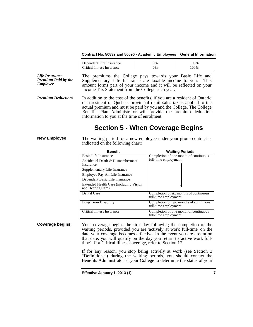| Critical Illness Insurance<br>00%<br>7% |  |
|-----------------------------------------|--|

*Life Insurance Premium Paid by the Employer* The premiums the College pays towards your Basic Life and Supplementary Life Insurance are taxable income to you. This amount forms part of your income and it will be reflected on your Income Tax Statement from the College each year.

*Premium Deductions* In addition to the cost of the benefits, if you are a resident of Ontario or a resident of Quebec, provincial retail sales tax is applied to the actual premium and must be paid by you and the College. The College Benefits Plan Administrator will provide the premium deduction information to you at the time of enrolment.

## **Section 5 - When Coverage Begins**

**New Employee** The waiting period for a new employee under your group contract is indicated on the following chart:

| <b>Benefit</b>                                              | <b>Waiting Periods</b>                                          |  |
|-------------------------------------------------------------|-----------------------------------------------------------------|--|
| Basic Life Insurance                                        | Completion of one month of continuous                           |  |
| Accidental Death & Dismemberment<br>Insurance               | full-time employment.                                           |  |
| Supplementary Life Insurance                                |                                                                 |  |
| Employee Pay-All Life Insurance                             |                                                                 |  |
| Dependent Basic Life Insurance                              |                                                                 |  |
| Extended Health Care (including Vision<br>and Hearing Care) |                                                                 |  |
| Dental Care                                                 | Completion of six months of continuous<br>full-time employment. |  |
| Long Term Disability                                        | Completion of two months of continuous<br>full-time employment. |  |
| Critical Illness Insurance                                  | Completion of one month of continuous<br>full-time employment.  |  |

**Coverage begins** Your coverage begins the first day following the completion of the waiting periods, provided you are 'actively at work full-time' on the date your coverage becomes effective. In the event you are absent on that date, you will qualify on the day you return to 'active work full- time'. For Critical Illness coverage, refer to Section 17.

> If for any reason, you stop being actively at work (see Section 3 "Definitions") during the waiting periods, you should contact the Benefits Administrator at your College to determine the status of your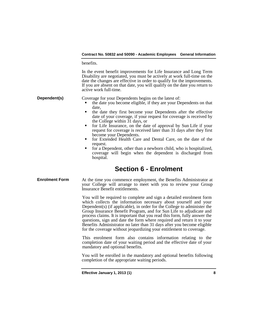benefits.

In the event benefit improvements for Life Insurance and Long Term Disability are negotiated, you must be actively at work full-time on the date the changes are effective in order to qualify for the improvements. If you are absent on that date, you will qualify on the date you return to active work full-time.

**Dependent(s)** Coverage for your Dependents begins on the latest of:

- the date you become eligible, if they are your Dependents on that date,
- the date they first become your Dependents after the effective date of your coverage, if your request for coverage is received by the College within 31 days, or
- for Life Insurance, on the date of approval by Sun Life if your request for coverage is received later than 31 days after they first become your Dependents.<br> **Form Extended Health Care and Dental Care, on the date of the**
- request.
- for a Dependent, other than a newborn child, who is hospitalized, coverage will begin when the dependent is discharged from hospital.

## **Section 6 - Enrolment**

### **Enrolment Form** At the time you commence employment, the Benefits Administrator at your College will arrange to meet with you to review your Group Insurance Benefit entitlements.

You will be required to complete and sign a detailed enrolment form which collects the information necessary about yourself and your Dependent(s) (if applicable), in order for the College to administer the Group Insurance Benefit Program, and for Sun Life to adjudicate and process claims. It is important that you read this form, fully answer the questions, sign and date the form where required and return it to your Benefits Administrator no later than 31 days after you become eligible for the coverage without jeopardizing your entitlement to coverage.

This enrolment form also contains information relating to the completion date of your waiting period and the effective date of your mandatory and optional benefits.

You will be enrolled in the mandatory and optional benefits following completion of the appropriate waiting periods.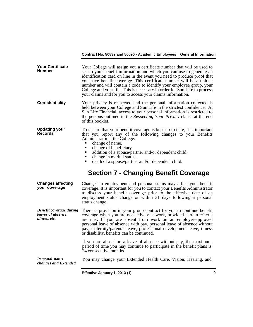| <b>Your Certificate</b><br>Number                                            | Your College will assign you a certificate number that will be used to<br>set up your benefit information and which you can use to generate an<br>identification card on line in the event you need to produce proof that<br>you have benefit coverage. This certificate number will be a unique<br>number and will contain a code to identify your employee group, your<br>College and your file. This is necessary in order for Sun Life to process<br>your claims and for you to access your claims information. |
|------------------------------------------------------------------------------|---------------------------------------------------------------------------------------------------------------------------------------------------------------------------------------------------------------------------------------------------------------------------------------------------------------------------------------------------------------------------------------------------------------------------------------------------------------------------------------------------------------------|
| <b>Confidentiality</b>                                                       | Your privacy is respected and the personal information collected is<br>held between your College and Sun Life in the strictest confidence. At<br>Sun Life Financial, access to your personal information is restricted to<br>the persons outlined in the Respecting Your Privacy clause at the end<br>of this booklet.                                                                                                                                                                                              |
| <b>Updating your</b><br><b>Records</b>                                       | To ensure that your benefit coverage is kept up-to-date, it is important<br>that you report any of the following changes to your Benefits<br>Administrator at the College:<br>change of name.<br>change of beneficiary.<br>Ξ<br>addition of a spouse/partner and/or dependent child.<br>change in marital status.<br>death of a spouse/partner and/or dependent child.<br>$\blacksquare$                                                                                                                            |
|                                                                              |                                                                                                                                                                                                                                                                                                                                                                                                                                                                                                                     |
|                                                                              | <b>Section 7 - Changing Benefit Coverage</b>                                                                                                                                                                                                                                                                                                                                                                                                                                                                        |
| <b>Changes affecting</b><br>your coverage                                    | Changes in employment and personal status may affect your benefit<br>coverage. It is important for you to contact your Benefits Administrator<br>to discuss your benefit coverage prior to the effective date of an<br>employment status change or within 31 days following a personal<br>status change.                                                                                                                                                                                                            |
| <b>Benefit coverage during</b><br>leaves of absence,<br><i>illness, etc.</i> | There is provision in your group contract for you to continue benefit<br>coverage when you are not actively at work, provided certain criteria<br>are met. If you are absent from work on an employer-approved<br>personal leave of absence with pay, personal leave of absence without<br>pay, maternity/parental leave, professional development leave, illness<br>or disability, benefits can be continued.                                                                                                      |
|                                                                              | If you are absent on a leave of absence without pay, the maximum<br>period of time you may continue to participate in the benefit plans is<br>24 consecutive months.                                                                                                                                                                                                                                                                                                                                                |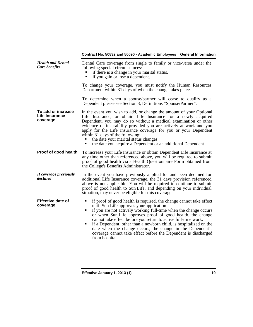| <b>Health and Dental</b><br>Care benefits        | Dental Care coverage from single to family or vice-versa under the<br>following special circumstances:<br>if there is a change in your marital status.<br>if you gain or lose a dependent.<br>٠                                                                                                                                                                                                                                                                                                                                                            |  |
|--------------------------------------------------|------------------------------------------------------------------------------------------------------------------------------------------------------------------------------------------------------------------------------------------------------------------------------------------------------------------------------------------------------------------------------------------------------------------------------------------------------------------------------------------------------------------------------------------------------------|--|
|                                                  | To change your coverage, you must notify the Human Resources<br>Department within 31 days of when the change takes place.                                                                                                                                                                                                                                                                                                                                                                                                                                  |  |
|                                                  | To determine when a spouse/partner will cease to qualify as a<br>Dependent please see Section 3, Definitions "Spouse/Partner".                                                                                                                                                                                                                                                                                                                                                                                                                             |  |
| To add or increase<br>Life Insurance<br>coverage | In the event you wish to add, or change the amount of your Optional<br>Life Insurance, or obtain Life Insurance for a newly acquired<br>Dependent, you may do so without a medical examination or other<br>evidence of insurability provided you are actively at work and you<br>apply for the Life Insurance coverage for you or your Dependent<br>within 31 days of the following:<br>the date your marital status changes<br>the date you acquire a Dependent or an additional Dependent<br>٠                                                           |  |
| Proof of good health                             | To increase your Life Insurance or obtain Dependent Life Insurance at<br>any time other than referenced above, you will be required to submit<br>proof of good health via a Health Questionnaire Form obtained from<br>the College's Benefits Administrator.                                                                                                                                                                                                                                                                                               |  |
| If coverage previously<br>declined               | In the event you have previously applied for and been declined for<br>additional Life Insurance coverage, the 31 days provision referenced<br>above is not applicable. You will be required to continue to submit<br>proof of good health to Sun Life, and depending on your individual<br>situation, may never be eligible for this coverage.                                                                                                                                                                                                             |  |
| <b>Effective date of</b><br>coverage             | if proof of good health is required, the change cannot take effect<br>٠<br>until Sun Life approves your application.<br>if you are not actively working full-time when the change occurs<br>٠<br>or when Sun Life approves proof of good health, the change<br>cannot take effect before you return to active full-time work.<br>if a Dependent, other than a newborn child, is hospitalized on the<br>٠<br>date when the change occurs, the change in the Dependent's<br>coverage cannot take effect before the Dependent is discharged<br>from hospital. |  |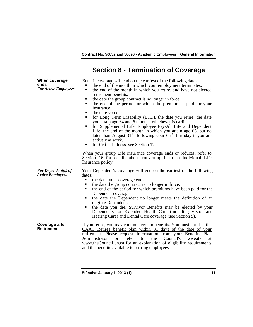## **Section 8 - Termination of Coverage**

**When coverage ends** *For Active Employees*

*For Dependent(s) of* 

Benefit coverage will end on the earliest of the following dates:

- the end of the month in which your employment terminates. the end of the month in which you retire, and have not elected
- 
- the date the group contract is no longer in force.<br>
 the end of the period for which the premium is paid for your
- **the date you die.**
- **for Long Term Disability (LTD), the date you retire, the date**
- you attain age 64 and 6 months, whichever is earlier.<br>
 for Supplemental Life, Employee Pay-All Life and Dependent Life, the end of the month in which you attain age 65, but no later than August  $31^{st}$  following your  $65^{th}$  birthday if you are actively at work.
- **for Critical Illness, see Section 17.**

When your group Life Insurance coverage ends or reduces, refer to Section 16 for details about converting it to an individual Life Insurance policy.

Your Dependent's coverage will end on the earliest of the following dates:

- 
- the date your coverage ends.<br>the date the group contract is no longer in force.
- the end of the period for which premiums have been paid for the Dependent coverage.
- the date the Dependent no longer meets the definition of an
- eligible Dependent. the date you die. Survivor Benefits may be elected by your Dependents for Extended Health Care (including Vision and Hearing Care) and Dental Care coverage (see Section 9).

**Coverage after**  If you retire, you may continue certain benefits. You must enrol in the CAAT Retiree benefit plan within 31 days of the date of your retirement. Please request information from your Benefits Plan<br>Administrator or refer to the Council's website at Administrator or refer to the Council's website at [www.theCouncil.on.ca](http://www.thecouncil.on.ca/) for an explanation of eligibility requirements and the benefits available to retiring employees.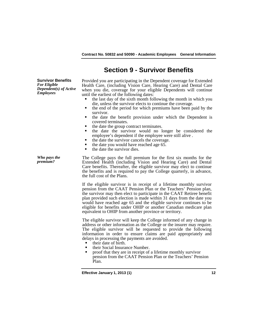## **Section 9 - Survivor Benefits**

**Survivor Benefits** *For Eligible Dependent(s) of Active Employees*

Provided you are participating in the Dependent coverage for Extended Health Care, (including Vision Care, Hearing Care) and Dental Care when you die, coverage for your eligible Dependents will continue until the earliest of the following dates:

- $\blacksquare$  the last day of the sixth month following the month in which you die, unless the survivor elects to continue the coverage.
- the end of the period for which premiums have been paid by the survivor.
- the date the benefit provision under which the Dependent is covered terminates. the date the group contract terminates. the date the survivor would no longer be considered the
- 
- employee's dependent if the employee were still alive .
- the date the survivor cancels the coverage.
- the date you would have reached age 65.<br> $\bullet$  the date the survivor dies
- the date the survivor dies.

*Who pays the* 

The College pays the full premium for the first six months for the Extended Health (including Vision and Hearing Care) and Dental Care benefits. Thereafter, the eligible survivor may elect to continue the benefits and is required to pay the College quarterly, in advance, the full cost of the Plans.

If the eligible survivor is in receipt of a lifetime monthly survivor pension from the CAAT Pension Plan or the Teachers' Pension plan, the survivor may then elect to participate in the CAAT Retiree benefit plan provided such election is made within 31 days from the date you would have reached age 65 and the eligible survivor continues to be eligible for benefits under OHIP or another Canadian medicare plan equivalent to OHIP from another province or territory.

The eligible survivor will keep the College informed of any change in address or other information as the College or the insurer may require. The eligible survivor will be requested to provide the following information in order to ensure claims are paid appropriately and delays in processing the payments are avoided.

- their date of birth.<br>• their Social Insurance Number.
- proof that they are in receipt of a lifetime monthly survivor pension from the CAAT Pension Plan or the Teachers' Pension Plan.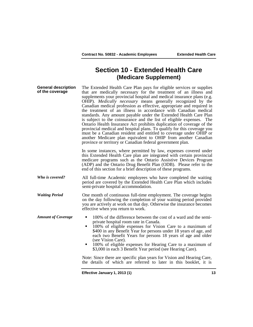## **Section 10 - Extended Health Care (Medicare Supplement)**

| <b>General description</b><br>of the coverage | The Extended Health Care Plan pays for eligible services or supplies<br>that are medically necessary for the treatment of an illness and<br>supplements your provincial hospital and medical insurance plans (e.g.<br>OHIP). Medically necessary means generally recognized by the<br>Canadian medical profession as effective, appropriate and required in<br>the treatment of an illness in accordance with Canadian medical<br>standards. Any amount payable under the Extended Health Care Plan<br>is subject to the coinsurance and the list of eligible expenses. The<br>Ontario Health Insurance Act prohibits duplication of coverage of the<br>provincial medical and hospital plans. To qualify for this coverage you<br>must be a Canadian resident and entitled to coverage under OHIP or<br>another Medicare plan equivalent to OHIP from another Canadian<br>province or territory or Canadian federal government plan. |
|-----------------------------------------------|---------------------------------------------------------------------------------------------------------------------------------------------------------------------------------------------------------------------------------------------------------------------------------------------------------------------------------------------------------------------------------------------------------------------------------------------------------------------------------------------------------------------------------------------------------------------------------------------------------------------------------------------------------------------------------------------------------------------------------------------------------------------------------------------------------------------------------------------------------------------------------------------------------------------------------------|
|                                               | In some instances, where permitted by law, expenses covered under<br>this Extended Health Care plan are integrated with certain provincial<br>medicare programs such as the Ontario Assistive Devices Program<br>(ADP) and the Ontario Drug Benefit Plan (ODB). Please refer to the<br>end of this section for a brief description of these programs.                                                                                                                                                                                                                                                                                                                                                                                                                                                                                                                                                                                 |
| Who is covered?                               | All full-time Academic employees who have completed the waiting<br>period are covered by the Extended Health Care Plan which includes<br>semi-private hospital accommodation.                                                                                                                                                                                                                                                                                                                                                                                                                                                                                                                                                                                                                                                                                                                                                         |
| <b>Waiting Period</b>                         | One month of continuous full-time employment. The coverage begins<br>on the day following the completion of your waiting period provided<br>you are actively at work on that day. Otherwise the insurance becomes<br>effective when you return to work.                                                                                                                                                                                                                                                                                                                                                                                                                                                                                                                                                                                                                                                                               |
| <b>Amount of Coverage</b>                     | 100% of the difference between the cost of a ward and the semi-<br>٠<br>private hospital room rate in Canada.<br>100% of eligible expenses for Vision Care to a maximum of<br>٠<br>\$400 in any Benefit Year for persons under 18 years of age, and<br>each two Benefit Years for persons 18 years of age and older<br>(see Vision Care).<br>100% of eligible expenses for Hearing Care to a maximum of<br>٠<br>\$3,000 in each 3 Benefit Year period (see Hearing Care).                                                                                                                                                                                                                                                                                                                                                                                                                                                             |
|                                               | Note: Since there are specific plan years for Vision and Hearing Care,<br>the details of which are referred to later in this booklet, it is                                                                                                                                                                                                                                                                                                                                                                                                                                                                                                                                                                                                                                                                                                                                                                                           |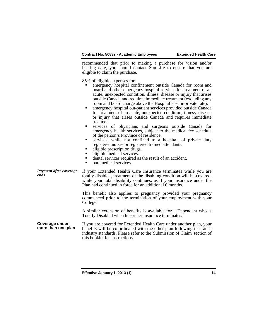recommended that prior to making a purchase for vision and/or hearing care, you should contact Sun Life to ensure that you are eligible to claim the purchase.

85% of eligible expenses for:

- emergency hospital confinement outside Canada for room and board and other emergency hospital services for treatment of an acute, unexpected condition, illness, disease or injury that arises outside Canada and requires immediate treatment (excluding any room and board charge above the Hospital's semi-private rate).
- emergency hospital out-patient services provided outside Canada for treatment of an acute, unexpected condition, illness, disease or injury that arises outside Canada and requires immediate
- treatment. services of physicians and surgeons outside Canada for emergency health services, subject to the medical fee schedule of the person's Province of residence.
- services, while not confined to a hospital, of private duty registered nurses or registered trained attendants.
- eligible prescription drugs.<br>■ eligible medical services.
- 
- dental services required as the result of an accident.
- paramedical services.

*Payment after coverage*  **Payment after coverage** If your Extended Health Care Insurance terminates while you are totally disabled, treatment of the disabling condition will be covered, while your total disability continues, as if your insurance under the Plan had continued in force for an additional 6 months.

> This benefit also applies to pregnancy provided your pregnancy commenced prior to the termination of your employment with your College.

> A similar extension of benefits is available for a Dependent who is Totally Disabled when his or her insurance terminates.

**Coverage under**  If you are covered for Extended Health Care under another plan, your benefits will be co-ordinated with the other plan following insurance industry standards. Please refer to the 'Submission of Claim' section of this booklet for instructions.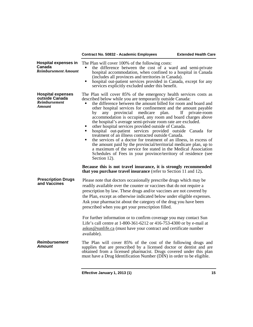|                                                                                     | Contract No. 50832 - Academic Employees                                                                                                                                                                                                                                                                                                                                                                                                                                                                                                                                                                                                                                                                                                                                                                                                                                                                                                                                                      | <b>Extended Health Care</b> |
|-------------------------------------------------------------------------------------|----------------------------------------------------------------------------------------------------------------------------------------------------------------------------------------------------------------------------------------------------------------------------------------------------------------------------------------------------------------------------------------------------------------------------------------------------------------------------------------------------------------------------------------------------------------------------------------------------------------------------------------------------------------------------------------------------------------------------------------------------------------------------------------------------------------------------------------------------------------------------------------------------------------------------------------------------------------------------------------------|-----------------------------|
| <b>Hospital expenses in</b><br>Canada<br><b>Reimbursement Amount</b>                | The Plan will cover 100% of the following costs:<br>the difference between the cost of a ward and semi-private<br>hospital accommodation, when confined to a hospital in Canada<br>(includes all provinces and territories in Canada).<br>hospital out-patient services provided in Canada, except for any<br>$\blacksquare$<br>services explicitly excluded under this benefit.                                                                                                                                                                                                                                                                                                                                                                                                                                                                                                                                                                                                             |                             |
| <b>Hospital expenses</b><br>outside Canada<br><b>Reimbursement</b><br><b>Amount</b> | The Plan will cover 85% of the emergency health services costs as<br>described below while you are temporarily outside Canada:<br>the difference between the amount billed for room and board and<br>other hospital services for confinement and the amount payable<br>medicare<br>any provincial<br>plan.<br>by<br>accommodation is occupied, any room and board charges above<br>the hospital's average semi-private room rate are excluded.<br>other hospital services provided outside of Canada.<br>hospital out-patient services provided outside Canada for<br>treatment of an illness contracted outside Canada.<br>the services of a doctor for treatment of an illness, in excess of<br>the amount paid by the provincial/territorial medicare plan, up to<br>a maximum of the service fee stated in the Medical Association<br>Schedules of Fees in your province/territory of residence (see<br>Section 12).<br>Because this is not travel insurance, it is strongly recommended | If<br>private-room          |
| <b>Prescription Drugs</b><br>and Vaccines                                           | that you purchase travel insurance (refer to Section 11 and 12).<br>Please note that doctors occasionally prescribe drugs which may be<br>readily available over the counter or vaccines that do not require a<br>prescription by law. These drugs and/or vaccines are not covered by<br>the Plan, except as otherwise indicated below under eligible expenses.<br>Ask your pharmacist about the category of the drug you have been<br>prescribed when you get your prescription filled.                                                                                                                                                                                                                                                                                                                                                                                                                                                                                                     |                             |
|                                                                                     | For further information or to confirm coverage you may contact Sun<br>Life's call centre at 1-800-361-6212 or 416-753-4300 or by e-mail at<br>askus@sunlife.ca (must have your contract and certificate number<br>available).                                                                                                                                                                                                                                                                                                                                                                                                                                                                                                                                                                                                                                                                                                                                                                |                             |
| <b>Reimbursement</b><br><b>Amount</b>                                               | The Plan will cover 85% of the cost of the following drugs and<br>supplies that are prescribed by a licensed doctor or dentist and are<br>obtained from a licensed pharmacist. Drugs covered under this plan<br>must have a Drug Identification Number (DIN) in order to be eligible.                                                                                                                                                                                                                                                                                                                                                                                                                                                                                                                                                                                                                                                                                                        |                             |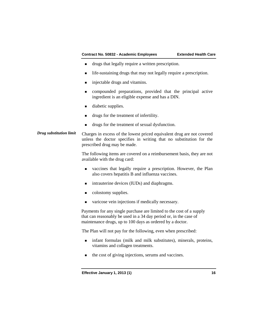- drugs that legally require a written prescription.
- life-sustaining drugs that may not legally require a prescription.
- **injectable drugs and vitamins.**
- compounded preparations, provided that the principal active ingredient is an eligible expense and has a DIN.
- **diabetic supplies.**
- drugs for the treatment of infertility.
- drugs for the treatment of sexual dysfunction.

## *Drug substitution limit* Charges in excess of the lowest priced equivalent drug are not covered unless the doctor specifies in writing that no substitution for the prescribed drug may be made.

The following items are covered on a reimbursement basis, they are not available with the drug card:

- vaccines that legally require a prescription. However, the Plan also covers hepatitis B and influenza vaccines.
- **Intrauterine devices (IUDs) and diaphragms.**
- colostomy supplies.
- varicose vein injections if medically necessary.

Payments for any single purchase are limited to the cost of a supply that can reasonably be used in a 34 day period or, in the case of maintenance drugs, up to 100 days as ordered by a doctor.

The Plan will not pay for the following, even when prescribed:

- infant formulas (milk and milk substitutes), minerals, proteins, vitamins and collagen treatments.
- $\blacksquare$  the cost of giving injections, serums and vaccines.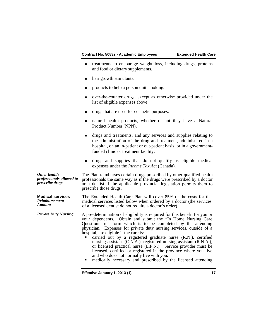- **treatments to encourage weight loss, including drugs, proteins** and food or dietary supplements.
- hair growth stimulants.
- products to help a person quit smoking.
- over-the-counter drugs, except as otherwise provided under the list of eligible expenses above.
- drugs that are used for cosmetic purposes.
- natural health products, whether or not they have a Natural Product Number (NPN).
- drugs and treatments, and any services and supplies relating to the administration of the drug and treatment, administered in a hospital, on an in-patient or out-patient basis, or in a governmentfunded clinic or treatment facility.
- drugs and supplies that do not qualify as eligible medical expenses under the *Income Tax Act* (Canada).

*Other health professionals allowed to prescribe drugs* The Plan reimburses certain drugs prescribed by other qualified health professionals the same way as if the drugs were prescribed by a doctor or a dentist if the applicable provincial legislation permits them to prescribe those drugs.

**Medical services** *Reimbursement Amount* The Extended Health Care Plan will cover 85% of the costs for the medical services listed below when ordered by a doctor (the services of a licensed dentist do not require a doctor's order).

*Private Duty Nursing* A pre-determination of eligibility is required for this benefit for you or your dependents. Obtain and submit the "In Home Nursing Care Questionnaire" form which is to be completed by the attending physician. Expenses for private duty nursing services, outside of a hospital, are eligible if the care is:

 carried out by a registered graduate nurse (R.N.), certified nursing assistant (C.N.A.), registered nursing assistant (R.N.A.), or licensed practical nurse (L.P.N.). Service provider must be licensed, certified or registered in the province where you live and who does not normally live with you.

medically necessary and prescribed by the licensed attending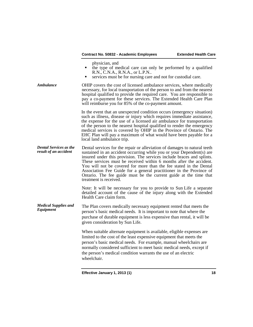physician, and

- $\blacksquare$  ihe type of medical care can only be performed by a qualified R.N., C.N.A., R.N.A., or L.P.N..
- services must be for nursing care and not for custodial care.

*Ambulance* **CHIP** covers the cost of licensed ambulance services, where medically necessary, for local transportation of the person to and from the nearest hospital qualified to provide the required care. You are responsible to pay a co-payment for these services. The Extended Health Care Plan will reimburse you for 85% of the co-payment amount.

> In the event that an unexpected condition occurs (emergency situation) such as illness, disease or injury which requires immediate assistance, the expense for the use of a licensed air ambulance for transportation of the person to the nearest hospital qualified to render the emergency medical services is covered by OHIP in the Province of Ontario. The EHC Plan will pay a maximum of what would have been payable for a local land ambulance trip.

*Dental Services as the*  Dental services for the repair or alleviation of damages to natural teeth sustained in an accident occurring while you or your Dependent(s) are insured under this provision. The services include braces and splints. These services must be received within 6 months after the accident. You will not be covered for more than the fee stated in the Dental Association Fee Guide for a general practitioner in the Province of Ontario. The fee guide must be the current guide at the time that treatment is received.

> Note: It will be necessary for you to provide to Sun Life a separate detailed account of the cause of the injury along with the Extended Health Care claim form.

*Medical Supplies and*  The Plan covers medically necessary equipment rented that meets the person's basic medical needs. It is important to note that where the purchase of durable equipment is less expensive than rental, it will be given consideration by Sun Life.

> When suitable alternate equipment is available, eligible expenses are limited to the cost of the least expensive equipment that meets the person's basic medical needs. For example, manual wheelchairs are normally considered sufficient to meet basic medical needs, except if the person's medical condition warrants the use of an electric wheelchair.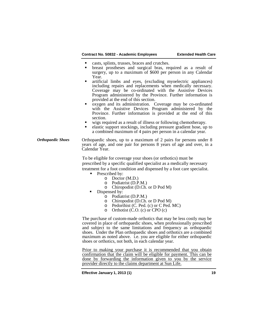- **Executes** casts, splints, trusses, braces and crutches.
- breast prostheses and surgical bras, required as a result of surgery, up to a maximum of \$600 per person in any Calendar Year.
- artificial limbs and eyes, (excluding myoelectric appliances) including repairs and replacements when medically necessary. Coverage may be co-ordinated with the Assistive Devices Program administered by the Province. Further information is provided at the end of this section.
- oxygen and its administration. Coverage may be co-ordinated with the Assistive Devices Program administered by the Province. Further information is provided at the end of this section.<br>wigs required as a result of illness or following chemotherapy.
- 
- elastic support stockings, including pressure gradient hose, up to a combined maximum of 4 pairs per person in a calendar year.
- *Orthopaedic Shoes* Orthopaedic shoes, up to a maximum of 2 pairs for persons under 8 years of age, and one pair for persons 8 years of age and over, in a Calendar Year.

To be eligible for coverage your shoes (or orthotics) must be prescribed by a specific qualified specialist as a medically necessary treatment for a foot condition and dispensed by a foot care specialist.

- **Prescribed by:** 
	- o Doctor (M.D.)
	- o Podiatrist (D.P.M.)
	- o Chiropodist (D.Ch. or D Pod M)
- Dispensed by:
	- o Podiatrist (D.P.M.)
	- o Chiropodist (D.Ch. or D Pod M)<br>  $\circ$  Pedorthist (C. Ped. (c) or C Ped.
	- $\circ$  Pedorthist (C. Ped. (c) or C Ped. MC)<br>  $\circ$  Orthotist (C.O. (c) or CPO (c)
	- Orthotist  $(C.O. (c)$  or  $CPO(c)$

The purchase of custom-made orthotics that may be less costly may be covered in place of orthopaedic shoes, when professionally prescribed and subject to the same limitations and frequency as orthopaedic shoes. Under the Plan orthopaedic shoes and orthotics are a combined maximum as noted above. i.e. you are eligible for either orthopaedic shoes or orthotics, not both, in each calendar year.

Prior to making your purchase it is recommended that you obtain confirmation that the claim will be eligible for payment. This can be done by forwarding the information given to you by the service provider directly to the claims department at Sun Life.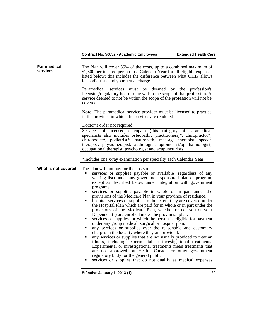| Paramedical<br>services | The Plan will cover 85% of the costs, up to a combined maximum of<br>\$1,500 per insured person in a Calendar Year for all eligible expenses<br>listed below; this includes the difference between what OHIP allows<br>for podiatrists and your actual charge.<br>Paramedical<br>services must be deemed by the profession's<br>licensing/regulatory board to be within the scope of that profession. A<br>service deemed to not be within the scope of the profession will not be<br>covered.<br>Note: The paramedical service provider must be licensed to practice<br>in the province in which the services are rendered.                                                                                                                                                                                                                                                                                                                                                                                                                                                                                                                                                                                                                                                                                        |
|-------------------------|---------------------------------------------------------------------------------------------------------------------------------------------------------------------------------------------------------------------------------------------------------------------------------------------------------------------------------------------------------------------------------------------------------------------------------------------------------------------------------------------------------------------------------------------------------------------------------------------------------------------------------------------------------------------------------------------------------------------------------------------------------------------------------------------------------------------------------------------------------------------------------------------------------------------------------------------------------------------------------------------------------------------------------------------------------------------------------------------------------------------------------------------------------------------------------------------------------------------------------------------------------------------------------------------------------------------|
|                         | Doctor's order not required:                                                                                                                                                                                                                                                                                                                                                                                                                                                                                                                                                                                                                                                                                                                                                                                                                                                                                                                                                                                                                                                                                                                                                                                                                                                                                        |
|                         | Services of licensed osteopath (this category of paramedical<br>specialists also includes osteopathic practitioners)*, chiropractor*,<br>chiropodist*, podiatrist*, naturopath, massage therapist, speech<br>therapist, physiotherapist, audiologist, optometrist/ophthalmologist,<br>occupational therapist, psychologist and acupuncturists.                                                                                                                                                                                                                                                                                                                                                                                                                                                                                                                                                                                                                                                                                                                                                                                                                                                                                                                                                                      |
|                         |                                                                                                                                                                                                                                                                                                                                                                                                                                                                                                                                                                                                                                                                                                                                                                                                                                                                                                                                                                                                                                                                                                                                                                                                                                                                                                                     |
|                         | *includes one x-ray examination per specialty each Calendar Year                                                                                                                                                                                                                                                                                                                                                                                                                                                                                                                                                                                                                                                                                                                                                                                                                                                                                                                                                                                                                                                                                                                                                                                                                                                    |
| What is not covered     | The Plan will not pay for the costs of:<br>services or supplies payable or available (regardless of any<br>waiting list) under any government-sponsored plan or program,<br>except as described below under Integration with government<br>programs.<br>services or supplies payable in whole or in part under the<br>٠<br>provisions of the Medicare Plan in your province of residence.<br>hospital services or supplies to the extent they are covered under<br>п<br>the Hospital Plan which are paid for in whole or in part under the<br>provisions of the Medicare Plan, whether or not you or your<br>Dependent (s) are enrolled under the provincial plan.<br>services or supplies for which the person is eligible for payment<br>٠<br>under any group medical, surgical or hospital plan.<br>any services or supplies over the reasonable and customary<br>٠<br>charges in the locality where they are provided.<br>any services or supplies that are not usually provided to treat an<br>٠<br>illness, including experimental or investigational treatments.<br>Experimental or investigational treatments mean treatments that<br>are not approved by Health Canada or other government<br>regulatory body for the general public.<br>services or supplies that do not qualify as medical expenses<br>٠ |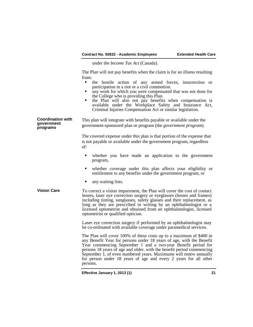under the *Income Tax Act* (Canada).

The Plan will not pay benefits when the claim is for an illness resulting from:

- the hostile action of any armed forces, insurrection or participation in a riot or a civil commotion.
- any work for which you were compensated that was not done for the College who is providing this Plan.
- the Plan will also not pay benefits when compensation is available under the Workplace Safety and Insurance Act, Criminal Injuries Compensation Act or similar legislation.

**Coordination with government programs** This plan will integrate with benefits payable or available under the government-sponsored plan or program (the *government program*).

> The covered expense under this plan is that portion of the expense that is not payable or available under the government program, regardless of:

- whether you have made an application to the government program,
- whether coverage under this plan affects your eligibility or entitlement to any benefits under the government program, or
- any waiting lists.
- **Vision Care** To correct a vision impairment, the Plan will cover the cost of contact lenses, laser eye correction surgery or eyeglasses (lenses and frames) including tinting, sunglasses, safety glasses and their replacement, as long as they are prescribed in writing by an ophthalmologist or a licensed optometrist and obtained from an ophthalmologist, licensed optometrist or qualified optician.

Laser eye correction surgery if performed by an ophthalmologist may be co-ordinated with available coverage under paramedical services.

The Plan will cover 100% of these costs up to a maximum of \$400 in any Benefit Year for persons under 18 years of age, with the Benefit Year commencing September 1 and a two-year Benefit period for persons 18 years of age and older, with the benefit period commencing September 1, of even numbered years. Maximums will renew annually for person under 18 years of age and every 2 years for all other persons.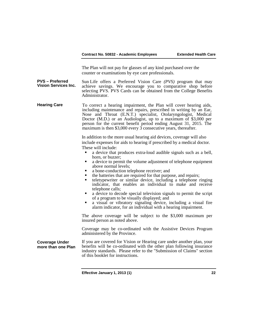The Plan will not pay for glasses of any kind purchased over the counter or examinations by eye care professionals.

**PVS – Preferred Vision Services Inc.** Sun Life offers a Preferred Vision Care *(PVS)* program that may achieve savings. We encourage you to comparative shop before selecting PVS. PVS Cards can be obtained from the College Benefits Administrator.

**Hearing Care** To correct a hearing impairment, the Plan will cover hearing aids, including maintenance and repairs, prescribed in writing by an Ear, Nose and Throat (E.N.T.) specialist, Otolaryngologist, Medical Doctor (M.D.) or an Audiologist, up to a maximum of \$3,000 per person for the current benefit period ending August 31, 2015. The maximum is then \$3,000 every 3 consecutive years, thereafter.

> In addition to the more usual hearing aid devices, coverage will also include expenses for aids to hearing if prescribed by a medical doctor. These will include:

- a device that produces extra-loud audible signals such as a bell, horn, or buzzer;
- a device to permit the volume adjustment of telephone equipment above normal levels;
- 
- a bone-conduction telephone receiver; and
- teletypewriter or similar device, including a telephone ringing indicator, that enables an individual to make and receive telephone calls;
- a device to decode special television signals to permit the script of a program to be visually displayed; and
- a visual or vibratory signaling device, including a visual fire alarm indicator, for an individual with a hearing impairment.

The above coverage will be subject to the \$3,000 maximum per insured person as noted above.

Coverage may be co-ordinated with the Assistive Devices Program administered by the Province.

**Coverage Under more than one Plan** If you are covered for Vision or Hearing care under another plan, your benefits will be co-ordinated with the other plan following insurance industry standards. Please refer to the "Submission of Claims" section of this booklet for instructions.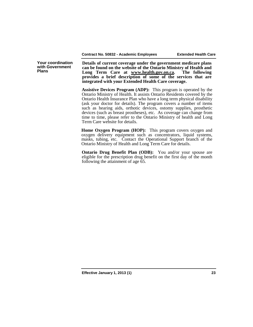**Your coordination with Government Plans**

**Details of current coverage under the government medicare plans can be found on the website of the Ontario Ministry of Health and**  Long Term Care at **[www.health.gov.on.ca.](http://www.health.gov.on.ca/) provides a brief description of some of the services that are integrated with your Extended Health Care coverage.**

**Assistive Devices Program (ADP):** This program is operated by the Ontario Ministry of Health. It assists Ontario Residents covered by the Ontario Health Insurance Plan who have a long term physical disability (ask your doctor for details). The program covers a number of items such as hearing aids, orthotic devices, ostomy supplies, prosthetic devices (such as breast prostheses), etc. As coverage can change from time to time, please refer to the Ontario Ministry of health and Long Term Care website for details.

**Home Oxygen Program (HOP):** This program covers oxygen and oxygen delivery equipment such as concentrators, liquid systems, masks, tubing, etc. Contact the Operational Support branch of the Ontario Ministry of Health and Long Term Care for details.

**Ontario Drug Benefit Plan (ODB):** You and/or your spouse are eligible for the prescription drug benefit on the first day of the month following the attainment of age 65.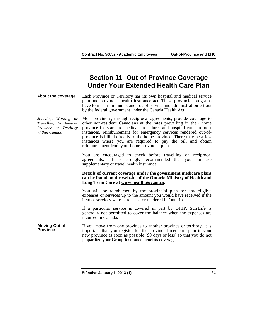## **Section 11- Out-of-Province Coverage Under Your Extended Health Care Plan**

**About the coverage** Each Province or Territory has its own hospital and medical service plan and provincial health insurance act. These provincial programs have to meet minimum standards of service and administration set out by the federal government under the Canada Health Act.

*Studying, Working or Travelling to Another Province or Territory Within Canada* Most provinces, through reciprocal agreements, provide coverage to other non-resident Canadians at the rates prevailing in their home province for standard medical procedures and hospital care. In most instances, reimbursement for emergency services rendered out-ofprovince is billed directly to the home province. There may be a few instances where you are required to pay the bill and obtain reimbursement from your home provincial plan.

> You are encouraged to check before travelling on reciprocal agreements. It is strongly recommended that you purchase It is strongly recommended that you purchase supplementary or travel health insurance.

#### **Details of current coverage under the government medicare plans can be found on the website of the Ontario Ministry of Health and Long Term Care at [www.health.gov.on.ca.](http://www.health.gov.on.ca/)**

You will be reimbursed by the provincial plan for any eligible expenses or services up to the amount you would have received if the item or services were purchased or rendered in Ontario.

If a particular service is covered in part by OHIP, Sun Life is generally not permitted to cover the balance when the expenses are incurred in Canada.

**Moving Out of Province** If you move from one province to another province or territory, it is important that you register for the provincial medicare plan in your new province as soon as possible (90 days or less) so that you do not jeopardize your Group Insurance benefits coverage.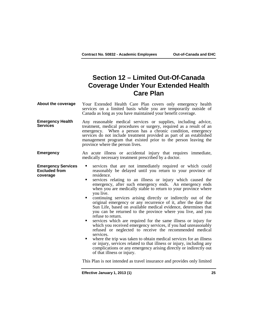## **Section 12 – Limited Out-Of-Canada Coverage Under Your Extended Health Care Plan**

- **About the coverage** Your Extended Health Care Plan covers only emergency health services on a limited basis while you are temporarily outside of Canada as long as you have maintained your benefit coverage.
- **Emergency Health Emergency Health** Any reasonable medical services or supplies, including advice, treatment, medical procedures or surgery, required as a result of an emergency. When a person has a chronic condition, emergency services do not include treatment provided as part of an established management program that existed prior to the person leaving the province where the person lives.
- **Emergency** An acute illness or accidental injury that requires immediate, medically necessary treatment prescribed by a doctor.
- **Emergency Services Excluded from coverage** services that are not immediately required or which could reasonably be delayed until you return to your province of residence.
	- services relating to an illness or injury which caused the emergency, after such emergency ends. An emergency ends when you are medically stable to return to your province where you live.
	- continuing services arising directly or indirectly out of the original emergency or any recurrence of it, after the date that Sun Life, based on available medical evidence, determines that you can be returned to the province where you live, and you refuse to return.
	- services which are required for the same illness or injury for which you received emergency services, if you had unreasonably refused or neglected to receive the recommended medical services.
	- where the trip was taken to obtain medical services for an illness or injury, services related to that illness or injury, including any complications or any emergency arising directly or indirectly out of that illness or injury.

This Plan is not intended as travel insurance and provides only limited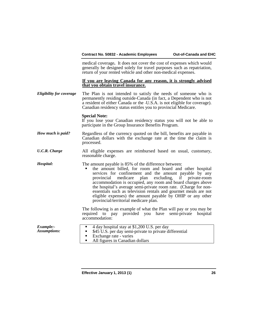medical coverage**.** It does not cover the cost of expenses which would generally be designed solely for travel purposes such as repatriation, return of your rented vehicle and other non-medical expenses.

#### **If you are leaving Canada for any reason, it is strongly advised that you obtain travel insurance.**

*Eligibility for coverage* The Plan is not intended to satisfy the needs of someone who is permanently residing outside Canada (in fact, a Dependent who is not a resident of either Canada or the U.S.A. is not eligible for coverage). Canadian residency status entitles you to provincial Medicare.

### **Special Note:**

If you lose your Canadian residency status you will not be able to participate in the Group Insurance Benefits Program.

- *How much is paid?* Regardless of the currency quoted on the bill, benefits are payable in Canadian dollars with the exchange rate at the time the claim is processed.
- *U.C.R. Charge* All eligible expenses are reimbursed based on usual, customary, reasonable charge.
- *Hospital:* The amount payable is 85% of the difference between:
	- the amount billed, for room and board and other hospital services for confinement and the amount payable by any provincial medicare plan excluding, if private-room accommodation is occupied, any room and board charges above the hospital's average semi-private room rate. (Charge for nonessentials such as television rentals and gourmet meals are not eligible expenses) the amount payable by OHIP or any other provincial/territorial medicare plan.

The following is an example of what the Plan will pay or you may be required to pay provided you have semi-private hospital accommodation:

| $\blacksquare$ 4 day hospital stay at \$1,200 U.S. per day<br>Example:-<br><b>Assumptions:</b><br>• \$45 U.S. per day semi-private to private differential<br>• Exchange rate - varies<br>All figures in Canadian dollars |
|---------------------------------------------------------------------------------------------------------------------------------------------------------------------------------------------------------------------------|
|---------------------------------------------------------------------------------------------------------------------------------------------------------------------------------------------------------------------------|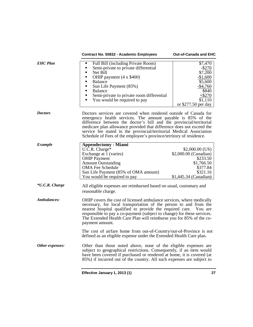|                 | Contract No. 50832 - Academic Employees                                                                                                                                                                                                                                                                                                                                                                                       | Out-of-Canada and EHC                                                                                                        |
|-----------------|-------------------------------------------------------------------------------------------------------------------------------------------------------------------------------------------------------------------------------------------------------------------------------------------------------------------------------------------------------------------------------------------------------------------------------|------------------------------------------------------------------------------------------------------------------------------|
| <b>EHC</b> Plan | Full Bill (including Private Room)<br>$\blacksquare$<br>Semi-private to private differential<br>Net Bill<br>$\blacksquare$<br>OHIP payment (4 x \$400)<br>$\blacksquare$<br>Balance<br>٠<br>Sun Life Payment (85%)<br>٠<br>Balance<br>٠<br>Semi-private to private room differential<br>٠<br>You would be required to pay<br>٠                                                                                                | \$7,470<br>$-$ \$270<br>\$7,200<br>$-$1,600$<br>\$5,600<br>$-$4,760$<br>\$840<br>$+ $270$<br>\$1,110<br>or $$277.50$ per day |
| <b>Doctors</b>  | Doctors services are covered when rendered outside of Canada for<br>emergency health services. The amount payable is 85% of the<br>difference between the doctor's bill and the provincial/territorial<br>medicare plan allowance provided that difference does not exceed the<br>service fee stated in the provincial/territorial Medical Association<br>Schedule of Fees of the employee's province/territory of residence. |                                                                                                                              |
| <b>Example</b>  | <b>Appendectomy - Miami</b><br>U.C.R. Charge*<br>Exchange at 1 (varies)<br><b>OHIP Payment</b><br><b>Amount Outstanding</b><br><b>OMA Fee Schedule</b><br>Sun Life Payment (85% of OMA amount)<br>You would be required to pay                                                                                                                                                                                                | $$2,000.00$ (US)<br>\$2,000.00 (Canadian)<br>\$233.50<br>\$1,766.50<br>\$377.84<br>\$321.16<br>$$1,445.34$ (Canadian)        |
| *U.C.R. Charge  | All eligible expenses are reimbursed based on usual, customary and<br>reasonable charge.                                                                                                                                                                                                                                                                                                                                      |                                                                                                                              |
| Ambulances:     | OHIP covers the cost of licensed ambulance services, where medically<br>necessary, for local transportation of the person to and from the<br>nearest hospital qualified to provide the required care.<br>You are<br>responsible to pay a co-payment (subject to change) for these services.<br>The Extended Health Care Plan will reimburse you for 85% of the co-<br>payment amount.                                         |                                                                                                                              |
|                 | The cost of airfare home from out-of-Country/out-of-Province is not<br>defined as an eligible expense under the Extended Health Care plan.                                                                                                                                                                                                                                                                                    |                                                                                                                              |
| Other expenses: | Other than those noted above, none of the eligible expenses are<br>subject to geographical restrictions. Consequently, if an item would<br>have been covered if purchased or rendered at home, it is covered (at<br>85%) if incurred out of the country. All such expenses are subject to                                                                                                                                     |                                                                                                                              |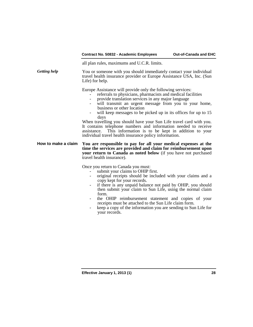all plan rules, maximums and U.C.R. limits.

*Getting help* You or someone with you should immediately contact your individual travel health insurance provider or Europe Assistance USA, Inc. (Sun Life) for help.

Europe Assistance will provide only the following services:

- 
- referrals to physicians, pharmacists and medical facilities provide translation services in any major language
- will transmit an urgent message from you to your home, business or other location
- will keep messages to be picked up in its offices for up to 15 days

When travelling you should have your Sun Life travel card with you. It contains telephone numbers and information needed to receive assistance. This information is to be kept in addition to your individual travel health insurance policy information.

#### **How to make a claim You are responsible to pay for all your medical expenses at the time the services are provided and claim for reimbursement upon your return to Canada as noted below** (if you have not purchased travel health insurance).

- Once you return to Canada you must:<br>- submit your claims to OHIP first.<br>- original receipts should be inclu-
	- original receipts should be included with your claims and a copy kept for your records.
	- if there is any unpaid balance not paid by OHIP, you should then submit your claim to Sun Life, using the normal claim form.
	- the OHIP reimbursement statement and copies of your receipts must be attached to the Sun Life claim form.
	- keep a copy of the information you are sending to Sun Life for your records.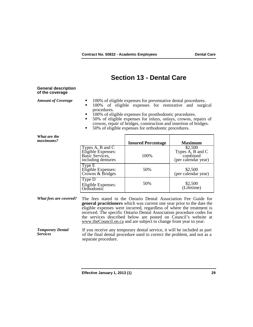## **Section 13 - Dental Care**

#### **General description of the coverage**

- *Amount of Coverage*  $\blacksquare$  100% of eligible expenses for preventative dental procedures.<br>100% of eligible expenses for restorative and surgic
	- 100% of eligible expenses for restorative and surgical procedures.
	- 100% of eligible expenses for prosthodontic procedures.<br>■ 50% of eligible expenses for inlays, onlays, crowns, re
	- 50% of eligible expenses for inlays, onlays, crowns, repairs of crowns, repair of bridges, construction and insertion of bridges. 50% of eligible expenses for orthodontic procedures.
	-

| What are the<br>maximums?                  |                                                                                                                                                                                                                                                                                                                                                                                                                                            | <b>Insured Percentage</b> | <b>Maximum</b>                                                 |
|--------------------------------------------|--------------------------------------------------------------------------------------------------------------------------------------------------------------------------------------------------------------------------------------------------------------------------------------------------------------------------------------------------------------------------------------------------------------------------------------------|---------------------------|----------------------------------------------------------------|
|                                            | Types A, B and C<br>Eligible Expenses:<br>Basic Services,<br>including dentures                                                                                                                                                                                                                                                                                                                                                            | 100%                      | \$2,500<br>Types A, B and C<br>combined<br>(per calendar year) |
|                                            | Type E<br>Eligible Expenses:<br>Crowns & Bridges                                                                                                                                                                                                                                                                                                                                                                                           | 50%                       | \$2,500<br>(per calendar year)                                 |
|                                            | Type D<br>Eligible Expenses:<br>Orthodontic                                                                                                                                                                                                                                                                                                                                                                                                | 50%                       | \$2,500<br>(Lifetime)                                          |
| <b>What fees are covered?</b>              | The fees stated in the Ontario Dental Association Fee Guide for<br><b>general practitioners</b> which was current one year prior to the date the<br>eligible expenses were incurred, regardless of where the treatment is<br>received. The specific Ontario Dental Association procedure codes for<br>the services described below are posted on Council's website at<br>www.theCouncil.on.ca and are subject to change from year to year. |                           |                                                                |
| <b>Temporary Dental</b><br><b>Services</b> | If you receive any temporary dental service, it will be included as part<br>of the final dental procedure used to correct the problem, and not as a<br>separate procedure.                                                                                                                                                                                                                                                                 |                           |                                                                |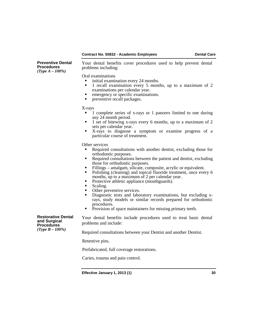#### **Contract No. 50832 - Academic Employees <b>Dental Care**

**Preventive Dental Procedures**  *(Type A – 100%)*

Your dental benefits cover procedures used to help prevent dental problems including:

Oral examinations

- initial examination every 24 months.
- 1 recall examination every 5 months, up to a maximum of 2
- emergency or specific examinations.
- **•** preventive recall packages.

#### X-rays

- 1 complete series of x-rays or 1 panorex limited to one during any 24 month period.
- $\blacksquare$  1 set of bitewing x-rays every 6 months, up to a maximum of 2 sets per calendar year.
- X-rays to diagnose a symptom or examine progress of a particular course of treatment.

Other services

- Required consultations with another dentist, excluding those for orthodontic purposes.
- Required consultations between the patient and dentist, excluding those for orthodontic purposes.
- Fillings amalgam, silicate, composite, acrylic or equivalent.<br>• Polishing (cleaning) and topical fluoride treatment, once eve
- Polishing (cleaning) and topical fluoride treatment, once every 6
- Protective athletic appliance (mouthguards).
- $\blacksquare$  Scaling.
- Other preventive services.<br>• Diagnostic tests and labor
- Diagnostic tests and laboratory examinations, but excluding xrays, study models or similar records prepared for orthodontic
- **Provision of space maintainers for missing primary teeth.**

Your dental benefits include procedures used to treat basic dental problems and include:

Required consultations between your Dentist and another Dentist.

Retentive pins.

Prefabricated, full coverage restorations.

Caries, trauma and pain control.

**Effective January 1, 2013 (1) 30**

**Restorative Dental and Surgical Procedures**  *(Type B – 100%)*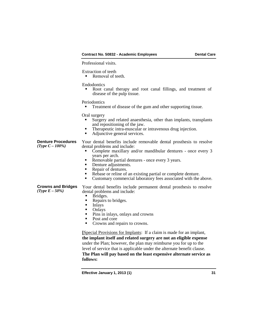#### **Contract No. 50832 - Academic Employees Dental Care**

Professional visits.

Extraction of teeth

Removal of teeth.

#### Endodontics

 Root canal therapy and root canal fillings, and treatment of disease of the pulp tissue.

Periodontics

Treatment of disease of the gum and other supporting tissue.

Oral surgery

- Surgery and related anaesthesia, other than implants, transplants
- Therapeutic intra-muscular or intravenous drug injection.<br>• Adjunctive general services
- Adjunctive general services.

**Denture Procedures**<br>(*Type C – 100%*)

Your dental benefits include removable dental prosthesis to resolve dental problems and include:

- Complete maxillary and/or mandibular dentures once every 3 years per arch.
- Removable partial dentures once every 3 years.<br>
Denture adjustments.<br>
Repair of dentures
- 
- Repair of dentures.<br>Reparts or reline of
- Rebase or reline of an existing partial or complete denture.
- Customary commercial laboratory fees associated with the above.

Your dental benefits include permanent dental prosthesis to resolve

# **Crowns and Bridges**

- dental problems and include:
	- **Bridges.**<br>Repairs 1
	- Repairs to bridges.<br>Inlays
- Inlays<br>■ Onlays
- Onlays
- $\blacksquare$  Pins in inlays, onlays and crowns
- Post and core<br>• Crowns and re
- Crowns and repairs to crowns.

**[**Special Provisions for Implants: If a claim is made for an implant, **the implant itself and related surgery are not an eligible expense**  under the Plan; however, the plan may reimburse you for up to the level of service that is applicable under the alternate benefit clause. **The Plan will pay based on the least expensive alternate service as follows:**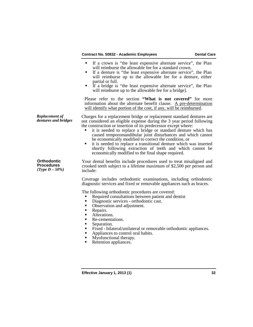#### **Contract No. 50832 - Academic Employees <b>Dental Care**

- If a crown is "the least expensive alternate service", the Plan will reimburse the allowable fee for a standard crown.
- If a denture is "the least expensive alternate service", the Plan will reimburse up to the allowable fee for a denture, either
- $\blacksquare$  If a bridge is "the least expensive alternate service", the Plan will reimburse up to the allowable fee for a bridge].

Please refer to the section **"What is not covered"** for more information about the alternate benefit clause. A pre-determination will identify what portion of the cost, if any, will be reimbursed.

*Replacement of* Charges for a replacement bridge or replacement standard dentures are not considered an eligible expense during the 3 year period following the construction or insertion of its predecessor except where:

- it is needed to replace a bridge or standard denture which has caused temporomandibular joint disturbances and which cannot be economically modified to correct the condition, or
- it is needed to replace a transitional denture which was inserted shortly following extraction of teeth and which cannot be economically modified to the final shape required.

Your dental benefits include procedures used to treat misaligned and crooked teeth subject to a lifetime maximum of \$2,500 per person and include:

Coverage includes orthodontic examinations, including orthodontic diagnostic services and fixed or removable appliances such as braces.

The following orthodontic procedures are covered:

- Required consultations between patient and dentist<br>Diagnostic services orthodontic cast
- Diagnostic services orthodontic cast.<br>■ Observation and adjustment.
- 
- 

*Replacement of* 

**Orthodontic Procedures** *(Type D – 50%)*

- Repairs.<br>• Alterations.
- Re-cementations.
- Separation.
- Fixed bilateral/unilateral or removable orthodontic appliances.
- Appliances to control oral habits.<br>• Myofunctional therapy
- Myofunctional therapy.
- Retention appliances.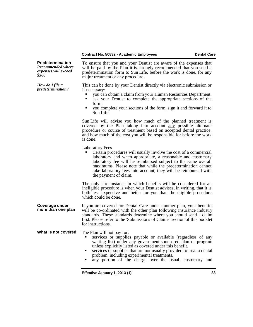### **Contract No. 50832 - Academic Employees Dental Care**

| <b>Predetermination</b><br><b>Recommended where</b><br>expenses will exceed<br>\$300 | To ensure that you and your Dentist are aware of the expenses that<br>will be paid by the Plan it is strongly recommended that you send a<br>predetermination form to Sun Life, before the work is done, for any<br>major treatment or any procedure.                                                                                                                                                             |
|--------------------------------------------------------------------------------------|-------------------------------------------------------------------------------------------------------------------------------------------------------------------------------------------------------------------------------------------------------------------------------------------------------------------------------------------------------------------------------------------------------------------|
| How do I file a<br><i>predetermination?</i>                                          | This can be done by your Dentist directly via electronic submission or<br>if necessary:<br>you can obtain a claim from your Human Resources Department.<br>ask your Dentist to complete the appropriate sections of the<br>٠<br>form.<br>you complete your sections of the form, sign it and forward it to<br>٠<br>Sun Life.                                                                                      |
|                                                                                      | Sun Life will advise you how much of the planned treatment is<br>covered by the Plan taking into account any possible alternate<br>procedure or course of treatment based on accepted dental practice,<br>and how much of the cost you will be responsible for before the work<br>is done.                                                                                                                        |
|                                                                                      | <b>Laboratory Fees</b><br>Certain procedures will usually involve the cost of a commercial<br>laboratory and when appropriate, a reasonable and customary<br>laboratory fee will be reimbursed subject to the same overall<br>maximums. Please note that while the predetermination cannot<br>take laboratory fees into account, they will be reimbursed with<br>the payment of claim.                            |
|                                                                                      | The only circumstance in which benefits will be considered for an<br>ineligible procedure is when your Dentist advises, in writing, that it is<br>both less expensive and better for you than the eligible procedure<br>which could be done.                                                                                                                                                                      |
| Coverage under<br>more than one plan                                                 | If you are covered for Dental Care under another plan, your benefits<br>will be co-ordinated with the other plan following insurance industry<br>standards. These standards determine where you should send a claim<br>first. Please refer to the 'Submissions of Claims' section of this booklet<br>for instructions.                                                                                            |
| What is not covered                                                                  | The Plan will not pay for:<br>services or supplies payable or available (regardless of any<br>waiting list) under any government-sponsored plan or program<br>unless explicitly listed as covered under this benefit.<br>services or supplies that are not usually provided to treat a dental<br>٠<br>problem, including experimental treatments.<br>any portion of the charge over the usual, customary and<br>٠ |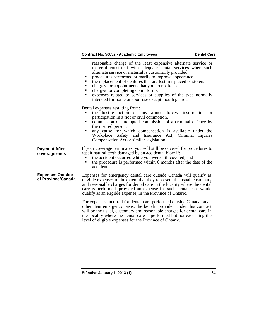|                                               | reasonable charge of the least expensive alternate service or<br>material consistent with adequate dental services when such<br>alternate service or material is customarily provided.<br>procedures performed primarily to improve appearance.<br>the replacement of dentures that are lost, misplaced or stolen.<br>٠<br>charges for appointments that you do not keep.<br>charges for completing claim forms.<br>expenses related to services or supplies of the type normally<br>intended for home or sport use except mouth guards. |  |  |
|-----------------------------------------------|------------------------------------------------------------------------------------------------------------------------------------------------------------------------------------------------------------------------------------------------------------------------------------------------------------------------------------------------------------------------------------------------------------------------------------------------------------------------------------------------------------------------------------------|--|--|
|                                               | Dental expenses resulting from:<br>the hostile action of any armed forces, insurrection or<br>participation in a riot or civil commotion.<br>commission or attempted commission of a criminal offence by<br>the insured person.<br>any cause for which compensation is available under the<br>Workplace Safety and Insurance Act, Criminal Injuries<br>Compensation Act or similar legislation.                                                                                                                                          |  |  |
| <b>Payment After</b><br>coverage ends         | If your coverage terminates, you will still be covered for procedures to<br>repair natural teeth damaged by an accidental blow if:<br>the accident occurred while you were still covered, and<br>the procedure is performed within 6 months after the date of the<br>accident.                                                                                                                                                                                                                                                           |  |  |
| <b>Expenses Outside</b><br>of Province/Canada | Expenses for emergency dental care outside Canada will qualify as<br>eligible expenses to the extent that they represent the usual, customary<br>and reasonable charges for dental care in the locality where the dental<br>care is performed, provided an expense for such dental care would<br>qualify as an eligible expense, in the Province of Ontario.                                                                                                                                                                             |  |  |
|                                               | For expenses incurred for dental care performed outside Canada on an<br>other than emergency basis, the benefit provided under this contract<br>will be the usual, customary and reasonable charges for dental care in<br>the locality where the dental care is performed but not exceeding the<br>level of eligible expenses for the Province of Ontario.                                                                                                                                                                               |  |  |
|                                               |                                                                                                                                                                                                                                                                                                                                                                                                                                                                                                                                          |  |  |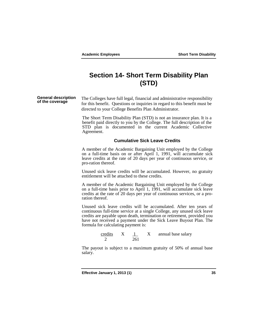# **Section 14- Short Term Disability Plan (STD)**

**General description**  The Colleges have full legal, financial and administrative responsibility for this benefit. Questions or inquiries in regard to this benefit must be directed to your College Benefits Plan Administrator.

> The Short Term Disability Plan (STD) is not an insurance plan. It is a benefit paid directly to you by the College. The full description of the STD plan is documented in the current Academic Collective Agreement.

#### **Cumulative Sick Leave Credits**

A member of the Academic Bargaining Unit employed by the College on a full-time basis on or after April 1, 1991, will accumulate sick leave credits at the rate of 20 days per year of continuous service, or pro-ration thereof.

Unused sick leave credits will be accumulated. However, no gratuity entitlement will be attached to these credits.

A member of the Academic Bargaining Unit employed by the College on a full-time basis prior to April 1, 1991, will accumulate sick leave credits at the rate of 20 days per year of continuous services, or a pro- ration thereof.

Unused sick leave credits will be accumulated. After ten years of continuous full-time service at a single College, any unused sick leave credits are payable upon death, termination or retirement, provided you have not received a payment under the Sick Leave Buyout Plan. The formula for calculating payment is:



The payout is subject to a maximum gratuity of 50% of annual base salary.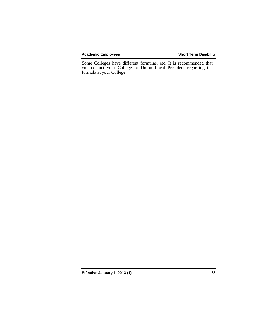#### **Academic Employees Short Term Disability**

Some Colleges have different formulas, etc. It is recommended that you contact your College or Union Local President regarding the formula at your College.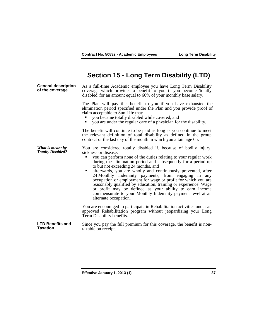## **Section 15 - Long Term Disability (LTD)**

**General description of the coverage** As a full-time Academic employee you have Long Term Disability coverage which provides a benefit to you if you become 'totally disabled' for an amount equal to 60% of your monthly base salary. The Plan will pay this benefit to you if you have exhausted the elimination period specified under the Plan and you provide proof of claim acceptable to Sun Life that: you became totally disabled while covered, and you are under the regular care of a physician for the disability. The benefit will continue to be paid as long as you continue to meet the relevant definition of total disability as defined in the group contract or the last day of the month in which you attain age 65. *What is meant by*  You are considered totally disabled if, because of bodily injury, sickness or disease: you can perform none of the duties relating to your regular work during the elimination period and subsequently for a period up to but not exceeding 24 months, and **EXECUTE:** afterwards, you are wholly and continuously prevented, after 24 Monthly Indemnity payments, from engaging in any occupation or employment for wage or profit for which you are reasonably qualified by education, training or experience. Wage or profit may be defined as your ability to earn income commensurate to your Monthly Indemnity payment level at an alternate occupation. You are encouraged to participate in Rehabilitation activities under an approved Rehabilitation program without jeopardizing your Long Term Disability benefits. **LTD Benefits and**  Since you pay the full premium for this coverage, the benefit is non-<br>taxable on receipt.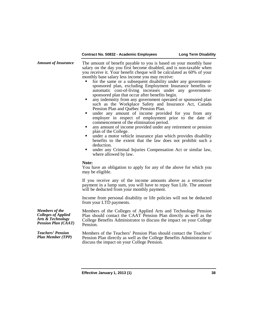| <b>Amount of Insurance</b>                                                                                 | The amount of benefit payable to you is based on your monthly base<br>salary on the day you first become disabled, and is non-taxable when<br>you receive it. Your benefit cheque will be calculated as 60% of your<br>monthly base salary less income you may receive:<br>for the same or a subsequent disability under any government-<br>sponsored plan, excluding Employment Insurance benefits or<br>automatic cost-of-living increases under any government-<br>sponsored plan that occur after benefits begin.<br>any indemnity from any government operated or sponsored plan<br>٠<br>such as the Workplace Safety and Insurance Act, Canada<br>Pension Plan and Québec Pension Plan.<br>under any amount of income provided for you from any<br>٠<br>employer in respect of employment prior to the date of<br>commencement of the elimination period.<br>any amount of income provided under any retirement or pension<br>٠<br>plan of the College.<br>under a motor vehicle insurance plan which provides disability<br>٠<br>benefits to the extent that the law does not prohibit such a<br>deduction.<br>under any Criminal Injuries Compensation Act or similar law,<br>where allowed by law. |
|------------------------------------------------------------------------------------------------------------|-------------------------------------------------------------------------------------------------------------------------------------------------------------------------------------------------------------------------------------------------------------------------------------------------------------------------------------------------------------------------------------------------------------------------------------------------------------------------------------------------------------------------------------------------------------------------------------------------------------------------------------------------------------------------------------------------------------------------------------------------------------------------------------------------------------------------------------------------------------------------------------------------------------------------------------------------------------------------------------------------------------------------------------------------------------------------------------------------------------------------------------------------------------------------------------------------------------|
|                                                                                                            | Note:<br>You have an obligation to apply for any of the above for which you<br>may be eligible.                                                                                                                                                                                                                                                                                                                                                                                                                                                                                                                                                                                                                                                                                                                                                                                                                                                                                                                                                                                                                                                                                                             |
|                                                                                                            | If you receive any of the income amounts above as a retroactive<br>payment in a lump sum, you will have to repay Sun Life. The amount<br>will be deducted from your monthly payment.                                                                                                                                                                                                                                                                                                                                                                                                                                                                                                                                                                                                                                                                                                                                                                                                                                                                                                                                                                                                                        |
|                                                                                                            | Income from personal disability or life policies will not be deducted<br>from your LTD payments.                                                                                                                                                                                                                                                                                                                                                                                                                                                                                                                                                                                                                                                                                                                                                                                                                                                                                                                                                                                                                                                                                                            |
| <b>Members</b> of the<br>Colleges of Applied<br><b>Arts &amp; Technology</b><br><b>Pension Plan (CAAT)</b> | Members of the Colleges of Applied Arts and Technology Pension<br>Plan should contact the CAAT Pension Plan directly as well as the<br>College Benefits Administrator to discuss the impact on your College<br>Pension.                                                                                                                                                                                                                                                                                                                                                                                                                                                                                                                                                                                                                                                                                                                                                                                                                                                                                                                                                                                     |
| <b>Teachers' Pension</b><br><b>Plan Member (TPP)</b>                                                       | Members of the Teachers' Pension Plan should contact the Teachers'<br>Pension Plan directly as well as the College Benefits Administrator to<br>discuss the impact on your College Pension.                                                                                                                                                                                                                                                                                                                                                                                                                                                                                                                                                                                                                                                                                                                                                                                                                                                                                                                                                                                                                 |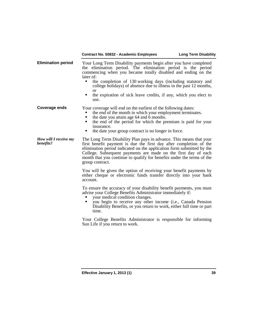### **Contract No. 50832 - Academic Employees Long Term Disability**

| <b>Elimination period</b>          | Your Long Term Disability payments begin after you have completed<br>the elimination period. The elimination period is the period<br>commencing when you became totally disabled and ending on the<br>later of:<br>the completion of 130 working days (including statutory and<br>college holidays) of absence due to illness in the past 12 months,<br><sub>or</sub><br>the expiration of sick leave credits, if any, which you elect to<br>٠<br>use. |  |  |
|------------------------------------|--------------------------------------------------------------------------------------------------------------------------------------------------------------------------------------------------------------------------------------------------------------------------------------------------------------------------------------------------------------------------------------------------------------------------------------------------------|--|--|
| <b>Coverage ends</b>               | Your coverage will end on the earliest of the following dates:<br>the end of the month in which your employment terminates.<br>the date you attain age 64 and 6 months.<br>the end of the period for which the premium is paid for your<br>insurance.<br>the date your group contract is no longer in force.<br>п                                                                                                                                      |  |  |
| How will I receive my<br>benefits? | The Long Term Disability Plan pays in advance. This means that your<br>first benefit payment is due the first day after completion of the<br>elimination period indicated on the application form submitted by the<br>College. Subsequent payments are made on the first day of each<br>month that you continue to qualify for benefits under the terms of the<br>group contract.                                                                      |  |  |
|                                    | You will be given the option of receiving your benefit payments by<br>either cheque or electronic funds transfer directly into your bank<br>account.                                                                                                                                                                                                                                                                                                   |  |  |
|                                    | To ensure the accuracy of your disability benefit payments, you must<br>advise your College Benefits Administrator immediately if:<br>your medical condition changes.<br>you begin to receive any other income (i.e., Canada Pension<br>Disability Benefits, or you return to work, either full time or part<br>time.                                                                                                                                  |  |  |

Your College Benefits Administrator is responsible for informing Sun Life if you return to work.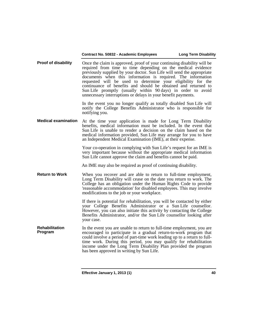#### **Contract No. 50832 - Academic Employees Long Term Disability**

**Proof of disability** Once the claim is approved, proof of your continuing disability will be required from time to time depending on the medical evidence previously supplied by your doctor. Sun Life will send the appropriate documents when this information is required. The information requested will be used to determine your eligibility for the continuance of benefits and should be obtained and returned to Sun Life promptly (usually within 90 days) in order to avoid unnecessary interruptions or delays in your benefit payments.

> In the event you no longer qualify as totally disabled Sun Life will notify the College Benefits Administrator who is responsible for notifying you.

**Medical examination** At the time your application is made for Long Term Disability benefits, medical information must be included. In the event that Sun Life is unable to render a decision on the claim based on the medical information provided, Sun Life may arrange for you to have an Independent Medical Examination (IME), at their expense.

> Your co-operation in complying with Sun Life's request for an IME is very important because without the appropriate medical information Sun Life cannot approve the claim and benefits cannot be paid.

An IME may also be required as proof of continuing disability.

**Return to Work** When you recover and are able to return to full-time employment, Long Term Disability will cease on the date you return to work. The College has an obligation under the Human Rights Code to provide 'reasonable accommodation' for disabled employees. This may involve modifications to the job or your workplace.

> If there is potential for rehabilitation, you will be contacted by either your College Benefits Administrator or a Sun Life counsellor. However, you can also initiate this activity by contacting the College Benefits Administrator, and/or the Sun Life counsellor looking after your case.

**Rehabilitation Rehabilitation** In the event you are unable to return to full-time employment, you are encouraged to participate in a gradual return-to-work program that could involve a period of part-time work leading up to a return to fulltime work. During this period, you may qualify for rehabilitation income under the Long Term Disability Plan provided the program has been approved in writing by Sun Life.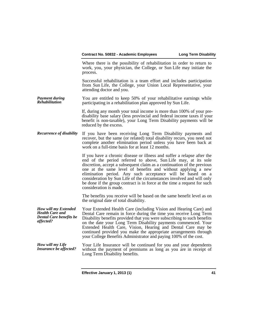Where there is the possibility of rehabilitation in order to return to work, you, your physician, the College, or Sun Life may initiate the process.

Successful rehabilitation is a team effort and includes participation from Sun Life, the College, your Union Local Representative, your attending doctor and you.

*Payment during Rehabilitation* You are entitled to keep 50% of your rehabilitative earnings while participating in a rehabilitation plan approved by Sun Life.

> If, during any month your total income is more than 100% of your predisability base salary (less provincial and federal income taxes if your benefit is non-taxable), your Long Term Disability payments will be reduced by the excess.

*Recurrence of disability* If you have been receiving Long Term Disability payments and recover, but the same (or related) total disability recurs, you need not complete another elimination period unless you have been back at work on a full-time basis for at least 12 months.

> If you have a chronic disease or illness and suffer a relapse after the end of the period referred to above, Sun Life may, at its sole discretion, accept a subsequent claim as a continuation of the previous one at the same level of benefits and without applying a new elimination period. Any such acceptance will be based on a consideration by Sun Life of the circumstances involved and will only be done if the group contract is in force at the time a request for such consideration is made.

> The benefits you receive will be based on the same benefit level as on the original date of total disability.

*How will my Extended Health Care and Dental Care benefits be affected?* Your Extended Health Care (including Vision and Hearing Care) and Dental Care remain in force during the time you receive Long Term Disability benefits provided that you were subscribing to such benefits on the date your Long Term Disability payments commenced. Your Extended Health Care, Vision, Hearing and Dental Care may be continued provided you make the appropriate arrangements through your College Benefits Administrator and paying 100% of the cost.

*How will my Life Insurance be affected?* Your Life Insurance will be continued for you and your dependents without the payment of premiums as long as you are in receipt of Long Term Disability benefits.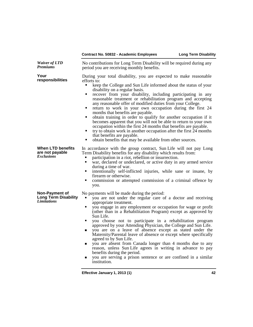|                                                                     | Contract No. 50832 - Academic Employees                                                                                                                                                                                                                                                                                                                                                                                                                                                                                                                                                                                                                                                                                                                                                                                                                                      | <b>Long Term Disability</b> |
|---------------------------------------------------------------------|------------------------------------------------------------------------------------------------------------------------------------------------------------------------------------------------------------------------------------------------------------------------------------------------------------------------------------------------------------------------------------------------------------------------------------------------------------------------------------------------------------------------------------------------------------------------------------------------------------------------------------------------------------------------------------------------------------------------------------------------------------------------------------------------------------------------------------------------------------------------------|-----------------------------|
| <b>Waiver of LTD</b><br><b>Premiums</b>                             | No contributions for Long Term Disability will be required during any<br>period you are receiving monthly benefits.                                                                                                                                                                                                                                                                                                                                                                                                                                                                                                                                                                                                                                                                                                                                                          |                             |
| Your<br>responsibilities                                            | During your total disability, you are expected to make reasonable<br>efforts to:<br>keep the College and Sun Life informed about the status of your<br>disability on a regular basis.<br>recover from your disability, including participating in any<br>reasonable treatment or rehabilitation program and accepting<br>any reasonable offer of modified duties from your College.<br>return to work in your own occupation during the first 24<br>months that benefits are payable.<br>obtain training in order to qualify for another occupation if it<br>٠<br>becomes apparent that you will not be able to return to your own<br>occupation within the first 24 months that benefits are payable.<br>try to obtain work in another occupation after the first 24 months<br>that benefits are payable.<br>obtain benefits that may be available from other sources.<br>٠ |                             |
| <b>When LTD benefits</b><br>are not payable<br><i>Exclusions</i>    | In accordance with the group contract, Sun Life will not pay Long<br>Term Disability benefits for any disability which results from:<br>participation in a riot, rebellion or insurrection.<br>war, declared or undeclared, or active duty in any armed service<br>٠<br>during a time of war.<br>intentionally self-inflicted injuries, while sane or insane, by<br>firearm or otherwise.<br>commission or attempted commission of a criminal offence by<br>٠<br>you.                                                                                                                                                                                                                                                                                                                                                                                                        |                             |
| Non-Payment of<br><b>Long Term Disability</b><br><b>Limitations</b> | No payments will be made during the period:<br>you are not under the regular care of a doctor and receiving<br>appropriate treatment.<br>you engage in any employment or occupation for wage or profit<br>٠<br>(other than in a Rehabilitation Program) except as approved by<br>Sun Life.<br>you choose not to participate in a rehabilitation program<br>٠<br>approved by your Attending Physician, the College and Sun Life.<br>you are on a leave of absence except as stated under the<br>■<br>Maternity/Parental leave of absence or except where specifically<br>agreed to by Sun Life.<br>you are absent from Canada longer than 4 months due to any<br>■<br>reason, unless Sun Life agrees in writing in advance to pay<br>benefits during the period.<br>you are serving a prison sentence or are confined in a similar<br>institution.                            |                             |
|                                                                     | Effective January 1, 2013 (1)                                                                                                                                                                                                                                                                                                                                                                                                                                                                                                                                                                                                                                                                                                                                                                                                                                                | 42                          |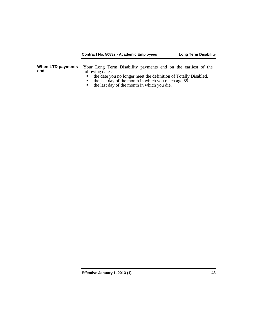### **Contract No. 50832 - Academic Employees Long Term Disability**

| When LTD payments | Your Long Term Disability payments end on the earliest of the                                                             |
|-------------------|---------------------------------------------------------------------------------------------------------------------------|
| end               | following dates:                                                                                                          |
|                   | • the date you no longer meet the definition of Totally Disabled.<br>the last day of the month in which you reach age 65. |

- 
- the last day of the month in which you die.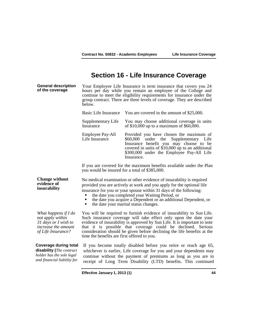## **Section 16 - Life Insurance Coverage**

**General description**  Your Employee Life Insurance is term insurance that covers you 24 hours per day while you remain an employee of the College and continue to meet the eligibility requirements for insurance under the group contract. There are three levels of coverage. They are described below. Basic Life Insurance You are covered in the amount of \$25,000.

| Supplementary Life<br>Insurance | You may choose additional coverage in units<br>of $$10,000$ up to a maximum of $$60,000$ . |
|---------------------------------|--------------------------------------------------------------------------------------------|
|                                 |                                                                                            |

Employee Pay-All Life Insurance Provided you have chosen the maximum of \$60,000 under the Supplementary Life Insurance benefit you may choose to be covered in units of \$10,000 up to an additional \$300,000 under the Employee Pay-All Life Insurance.

If you are covered for the maximum benefits available under the Plan you would be insured for a total of \$385,000.

**Change without evidence of insurability** No medical examination or other evidence of insurability is required provided you are actively at work and you apply for the optional life insurance for you or your spouse within 31 days of the following:

- the date you completed your Waiting Period, or
- the date you acquire a Dependent or an additional Dependent, or the date your marital status changes.
- 

*What happens if I do not apply within 31 days or I wish to increase the amount of Life Insurance?*

You will be required to furnish evidence of insurability to Sun Life. Such insurance coverage will take effect only upon the date your evidence of insurability is approved by Sun Life. It is important to note that it is possible that coverage could be declined. Serious consideration should be given before declining the life benefits at the time the benefits are first offered to you.

#### **Coverage during total disability (***The contract holder has the sole legal and financial liability for*

If you become totally disabled before you retire or reach age 65, whichever is earlier, Life coverage for you and your dependents may continue without the payment of premiums as long as you are in receipt of Long Term Disability (LTD) benefits. This continued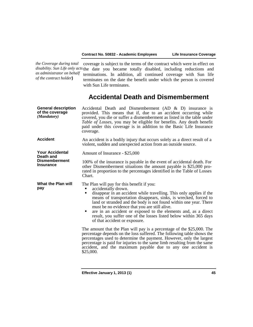*the Coverage during total as administrator on behalf of the contract holder***)**

*disability. Sun Life only acts*  the date you became totally disabled, including reductions and coverage is subject to the terms of the contract which were in effect on terminations. In addition, all continued coverage with Sun life terminates on the date the benefit under which the person is covered with Sun Life terminates.

# **Accidental Death and Dismemberment**

| <b>General description</b><br>of the coverage<br>(Mandatory) | Accidental Death and Dismemberment (AD $\&$ D) insurance is<br>provided. This means that if, due to an accident occurring while<br>covered, you die or suffer a dismemberment as listed in the table under<br>Table of Losses, you may be eligible for benefits. Any death benefit<br>paid under this coverage is in addition to the Basic Life Insurance<br>coverage.                                                                                                                                          |
|--------------------------------------------------------------|-----------------------------------------------------------------------------------------------------------------------------------------------------------------------------------------------------------------------------------------------------------------------------------------------------------------------------------------------------------------------------------------------------------------------------------------------------------------------------------------------------------------|
| <b>Accident</b>                                              | An accident is a bodily injury that occurs solely as a direct result of a<br>violent, sudden and unexpected action from an outside source.                                                                                                                                                                                                                                                                                                                                                                      |
| <b>Your Accidental</b><br>Death and                          | Amount of Insurance - \$25,000                                                                                                                                                                                                                                                                                                                                                                                                                                                                                  |
| <b>Dismemberment</b><br><b>Insurance</b>                     | 100% of the insurance is payable in the event of accidental death. For<br>other Dismemberment situations the amount payable is \$25,000 pro-<br>rated in proportion to the percentages identified in the Table of Losses<br>Chart.                                                                                                                                                                                                                                                                              |
| What the Plan will<br>pay                                    | The Plan will pay for this benefit if you:<br>accidentally drown.<br>disappear in an accident while travelling. This only applies if the<br>means of transportation disappears, sinks, is wrecked, forced to<br>land or stranded and the body is not found within one year. There<br>must be no evidence that you are still alive.<br>are in an accident or exposed to the elements and, as a direct<br>٠<br>result, you suffer one of the losses listed below within 365 days<br>of that accident or exposure. |
|                                                              | The amount that the Plan will pay is a percentage of the \$25,000. The<br>percentage depends on the loss suffered. The following table shows the<br>percentages used to determine the payment. However, only the largest<br>percentage is paid for injuries to the same limb resulting from the same<br>accident, and the maximum payable due to any one accident is<br>\$25,000.                                                                                                                               |
|                                                              |                                                                                                                                                                                                                                                                                                                                                                                                                                                                                                                 |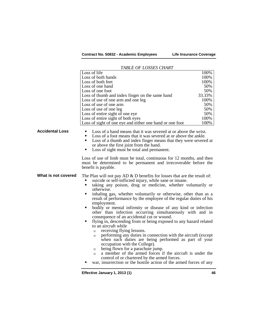**Contract No. 50832 - Academic Employees Life Insurance Coverage**

|                        | TABLE OF LOSSES CHART                                                                                                                                                                                                                                                                                                                                                                                                                                                                                                                                                                                                                                                                                                                                                                                                                                                                                                                                                                                                                                 |        |
|------------------------|-------------------------------------------------------------------------------------------------------------------------------------------------------------------------------------------------------------------------------------------------------------------------------------------------------------------------------------------------------------------------------------------------------------------------------------------------------------------------------------------------------------------------------------------------------------------------------------------------------------------------------------------------------------------------------------------------------------------------------------------------------------------------------------------------------------------------------------------------------------------------------------------------------------------------------------------------------------------------------------------------------------------------------------------------------|--------|
|                        | Loss of life                                                                                                                                                                                                                                                                                                                                                                                                                                                                                                                                                                                                                                                                                                                                                                                                                                                                                                                                                                                                                                          | 100%   |
|                        | Loss of both hands                                                                                                                                                                                                                                                                                                                                                                                                                                                                                                                                                                                                                                                                                                                                                                                                                                                                                                                                                                                                                                    | 100%   |
|                        | Loss of both feet                                                                                                                                                                                                                                                                                                                                                                                                                                                                                                                                                                                                                                                                                                                                                                                                                                                                                                                                                                                                                                     | 100%   |
|                        | Loss of one hand                                                                                                                                                                                                                                                                                                                                                                                                                                                                                                                                                                                                                                                                                                                                                                                                                                                                                                                                                                                                                                      | 50%    |
|                        | Loss of one foot                                                                                                                                                                                                                                                                                                                                                                                                                                                                                                                                                                                                                                                                                                                                                                                                                                                                                                                                                                                                                                      | 50%    |
|                        | Loss of thumb and index finger on the same hand                                                                                                                                                                                                                                                                                                                                                                                                                                                                                                                                                                                                                                                                                                                                                                                                                                                                                                                                                                                                       | 33.33% |
|                        | Loss of use of one arm and one leg                                                                                                                                                                                                                                                                                                                                                                                                                                                                                                                                                                                                                                                                                                                                                                                                                                                                                                                                                                                                                    | 100%   |
|                        | Loss of use of one arm                                                                                                                                                                                                                                                                                                                                                                                                                                                                                                                                                                                                                                                                                                                                                                                                                                                                                                                                                                                                                                | 50%    |
|                        | Loss of use of one leg                                                                                                                                                                                                                                                                                                                                                                                                                                                                                                                                                                                                                                                                                                                                                                                                                                                                                                                                                                                                                                | 50%    |
|                        | Loss of entire sight of one eye                                                                                                                                                                                                                                                                                                                                                                                                                                                                                                                                                                                                                                                                                                                                                                                                                                                                                                                                                                                                                       | 50%    |
|                        | Loss of entire sight of both eyes                                                                                                                                                                                                                                                                                                                                                                                                                                                                                                                                                                                                                                                                                                                                                                                                                                                                                                                                                                                                                     | 100%   |
|                        | Loss of sight of one eye and either one hand or one foot                                                                                                                                                                                                                                                                                                                                                                                                                                                                                                                                                                                                                                                                                                                                                                                                                                                                                                                                                                                              | 100%   |
| <b>Accidental Loss</b> | Loss of a hand means that it was severed at or above the wrist.<br>Loss of a foot means that it was severed at or above the ankle.<br>Loss of a thumb and index finger means that they were severed at<br>٠<br>or above the first joint from the hand.<br>Loss of sight must be total and permanent.<br>٠                                                                                                                                                                                                                                                                                                                                                                                                                                                                                                                                                                                                                                                                                                                                             |        |
|                        | Loss of use of limb must be total, continuous for 12 months, and then<br>must be determined to be permanent and irrecoverable before the<br>benefit is payable.                                                                                                                                                                                                                                                                                                                                                                                                                                                                                                                                                                                                                                                                                                                                                                                                                                                                                       |        |
| What is not covered    | The Plan will not pay AD $\&$ D benefits for losses that are the result of:<br>suicide or self-inflicted injury, while sane or insane.<br>taking any poison, drug or medicine, whether voluntarily or<br>П<br>otherwise.<br>inhaling gas, whether voluntarily or otherwise, other than as a<br>٠<br>result of performance by the employee of the regular duties of his<br>employment.<br>bodily or mental infirmity or disease of any kind or infection<br>other than infection occurring simultaneously with and in<br>consequence of an accidental cut or wound.<br>flying in, descending from or being exposed to any hazard related<br>٠<br>to an aircraft while<br>receiving flying lessons.<br>$\Box$<br>performing any duties in connection with the aircraft (except<br>$\Box$<br>when such duties are being performed as part of your<br>occupation with the College).<br>being flown for a parachute jump.<br>$\Box$<br>a member of the armed forces if the aircraft is under the<br>$\Box$<br>control of or chartered by the armed forces. |        |
|                        | war, insurrection or the hostile action of the armed forces of any                                                                                                                                                                                                                                                                                                                                                                                                                                                                                                                                                                                                                                                                                                                                                                                                                                                                                                                                                                                    |        |

#### *TABLE OF LOSSES CHART*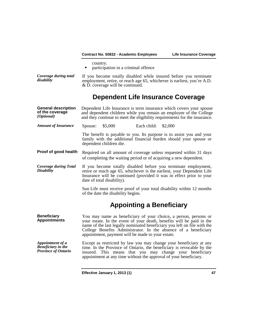|                                                                      |                                                                                                                                                                                                                                                 | Contract No. 50832 - Academic Employees           |             | Life Insurance Coverage                                                                                                                                                                                                                                                                  |  |
|----------------------------------------------------------------------|-------------------------------------------------------------------------------------------------------------------------------------------------------------------------------------------------------------------------------------------------|---------------------------------------------------|-------------|------------------------------------------------------------------------------------------------------------------------------------------------------------------------------------------------------------------------------------------------------------------------------------------|--|
|                                                                      | country.<br>٠                                                                                                                                                                                                                                   | participation in a criminal offence               |             |                                                                                                                                                                                                                                                                                          |  |
| Coverage during total<br>disability                                  |                                                                                                                                                                                                                                                 | $&$ D. coverage will be continued.                |             | If you become totally disabled while insured before you terminate<br>employment, retire, or reach age 65, whichever is earliest, you're A.D.                                                                                                                                             |  |
|                                                                      |                                                                                                                                                                                                                                                 |                                                   |             | Dependent Life Insurance Coverage                                                                                                                                                                                                                                                        |  |
| <b>General description</b><br>of the coverage<br>(Optional)          |                                                                                                                                                                                                                                                 |                                                   |             | Dependent Life Insurance is term insurance which covers your spouse<br>and dependent children while you remain an employee of the College<br>and they continue to meet the eligibility requirements for the insurance.                                                                   |  |
| <b>Amount of Insurance</b>                                           | Spouse:                                                                                                                                                                                                                                         | \$5,000                                           | Each child: | \$2,000                                                                                                                                                                                                                                                                                  |  |
|                                                                      |                                                                                                                                                                                                                                                 | dependent children die.                           |             | The benefit is payable to you. Its purpose is to assist you and your<br>family with the additional financial burden should your spouse or                                                                                                                                                |  |
| Proof of good health                                                 |                                                                                                                                                                                                                                                 |                                                   |             | Required on all amount of coverage unless requested within 31 days<br>of completing the waiting period or of acquiring a new dependent.                                                                                                                                                  |  |
| <b>Coverage during Total</b><br><b>Disability</b>                    | If you become totally disabled before you terminate employment,<br>retire or reach age 65, whichever is the earliest, your Dependent Life<br>Insurance will be continued (provided it was in effect prior to your<br>date of total disability). |                                                   |             |                                                                                                                                                                                                                                                                                          |  |
|                                                                      |                                                                                                                                                                                                                                                 | of the date the disability begins.                |             | Sun Life must receive proof of your total disability within 12 months                                                                                                                                                                                                                    |  |
|                                                                      |                                                                                                                                                                                                                                                 |                                                   |             | <b>Appointing a Beneficiary</b>                                                                                                                                                                                                                                                          |  |
| <b>Beneficiary</b><br><b>Appointments</b>                            |                                                                                                                                                                                                                                                 | appointment, payment will be made to your estate. |             | You may name as beneficiary of your choice, a person, persons or<br>your estate. In the event of your death, benefits will be paid in the<br>name of the last legally nominated beneficiary you left on file with the<br>College Benefits Administrator. In the absence of a beneficiary |  |
| Appointment of a<br><b>Beneficiary</b> in the<br>Province of Ontario | insured.                                                                                                                                                                                                                                        |                                                   |             | Except as restricted by law you may change your beneficiary at any<br>time. In the Province of Ontario, the beneficiary is revocable by the<br>This means that you may change your beneficiary<br>appointment at any time without the approval of your beneficiary.                      |  |
|                                                                      |                                                                                                                                                                                                                                                 |                                                   |             |                                                                                                                                                                                                                                                                                          |  |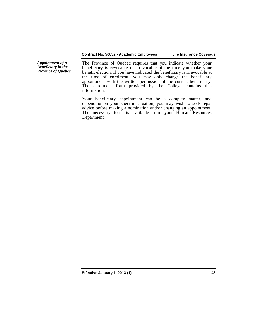#### **Contract No. 50832 - Academic Employees Life Insurance Coverage**

*Appointment of a Beneficiary in the Province of Quebec*

The Province of Quebec requires that you indicate whether your beneficiary is revocable or irrevocable at the time you make your benefit election. If you have indicated the beneficiary is irrevocable at the time of enrolment, you may only change the beneficiary appointment with the written permission of the current beneficiary. The enrolment form provided by the College contains this information.

Your beneficiary appointment can be a complex matter, and depending on your specific situation, you may wish to seek legal advice before making a nomination and/or changing an appointment. The necessary form is available from your Human Resources Department.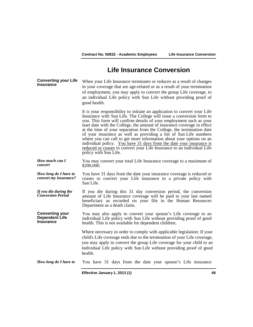## **Life Insurance Conversion**

**Converting your Life Insurance** When your Life Insurance terminates or reduces as a result of changes in your coverage that are age-related or as a result of your termination of employment, you may apply to convert the group Life coverage, to an individual Life policy with Sun Life without providing proof of good health.

> It is your responsibility to initiate an application to convert your Life Insurance with Sun Life. The College will issue a conversion form to you. This form will confirm details of your employment such as your start date with the College, the amount of insurance coverage in effect at the time of your separation from the College, the termination date of your insurance as well as providing a list of Sun Life numbers where you can call to get more information about your options on an individual policy. You have 31 days from the date your insurance is reduced or ceases to convert your Life Insurance to an individual Life policy with Sun Life.

*How much can I convert* You may convert your total Life Insurance coverage to a maximum of \$200,000.

*How long do I have to*  You have 31 days from the date your insurance coverage is reduced or ceases to convert your Life insurance to a private policy with Sun Life.

*If you die during the Conversion Period* If you die during this 31 day conversion period, the conversion amount of Life Insurance coverage will be paid to your last named beneficiary as recorded on your file in the Human Resources Department as a death claim.

**Converting your Dependent Life Insurance** You may also apply to convert your spouse's Life coverage to an individual Life policy with Sun Life without providing proof of good health. This is not available for dependent children.

> Where necessary in order to comply with applicable legislation: If your child's Life coverage ends due to the termination of your Life coverage, you may apply to convert the group Life coverage for your child to an individual Life policy with Sun Life without providing proof of good health.

#### *How long do I have to* You have 31 days from the date your spouse's Life insurance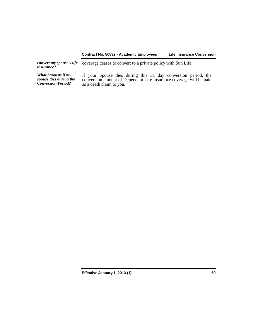#### **Contract No. 50832 - Academic Employees Life Insurance Conversion**

*convert my spouse's life*  coverage ceases to convert to a private policy with Sun Life.

*What happens if my spouse dies during the Conversion Period?*

If your Spouse dies during this 31 day conversion period, the conversion amount of Dependent Life Insurance coverage will be paid as a death claim to you.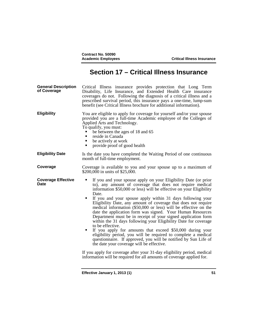# **Section 17 – Critical Illness Insurance**

**General Description General Description** Critical Illness insurance provides protection that Long Term of Coverage Disability, Life Insurance, and Extended Health Care insurance coverages do not. Following the diagnosis of a critical illness and a prescribed survival period, this insurance pays a one-time, lump-sum benefit (see Critical Illness brochure for additional information). **Eligibility** You are eligible to apply for coverage for yourself and/or your spouse provided you are a full-time Academic employee of the Colleges of Applied Arts and Technology. To qualify, you must: • be between the ages of 18 and 65<br>
• reside in Canada<br>
• he actively at work be actively at work provide proof of good health **Eligibility Date** Is the date you have completed the Waiting Period of one continuous month of full-time employment. **Coverage** Coverage is available to you and your spouse up to a maximum of \$200,000 in units of \$25,000. **Coverage Effective**  If you and your spouse apply on your Eligibility Date (or prior to), any amount of coverage that does not require medical information \$50,000 or less) will be effective on your Eligibility Date.<br>If you and your spouse apply within 31 days following your Eligibility Date, any amount of coverage that does not require medical information (\$50,000 or less) will be effective on the date the application form was signed. Your Human Resources Department must be in receipt of your signed application form within the 31 days following your Eligibility Date for coverage to be effective. If you apply for amounts that exceed \$50,000 during your eligibility period, you will be required to complete a medical questionnaire. If approved, you will be notified by Sun Life of the date your coverage will be effective. If you apply for coverage after your 31-day eligibility period, medical information will be required for all amounts of coverage applied for.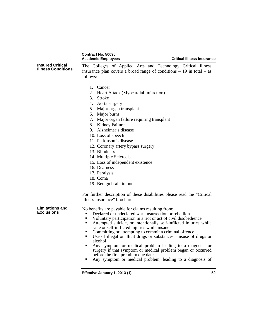|                                                      | <b>Contract No. 50090</b><br><b>Academic Employees</b>                                                                                                                                                                                                                                                                                                                                                                                                                                                                                                                                                                                                                                   | <b>Critical Illness Insurance</b> |
|------------------------------------------------------|------------------------------------------------------------------------------------------------------------------------------------------------------------------------------------------------------------------------------------------------------------------------------------------------------------------------------------------------------------------------------------------------------------------------------------------------------------------------------------------------------------------------------------------------------------------------------------------------------------------------------------------------------------------------------------------|-----------------------------------|
| <b>Insured Critical</b><br><b>Illness Conditions</b> | The Colleges of Applied Arts and Technology Critical Illness<br>insurance plan covers a broad range of conditions $-19$ in total $-$ as<br>follows:                                                                                                                                                                                                                                                                                                                                                                                                                                                                                                                                      |                                   |
|                                                      | 1. Cancer<br><b>Heart Attack (Myocardial Infarction)</b><br>2.<br>3.<br><b>Stroke</b><br>4. Aorta surgery                                                                                                                                                                                                                                                                                                                                                                                                                                                                                                                                                                                |                                   |
|                                                      | 5. Major organ transplant<br>6. Major burns<br>7. Major organ failure requiring transplant<br>8. Kidney Failure                                                                                                                                                                                                                                                                                                                                                                                                                                                                                                                                                                          |                                   |
|                                                      | 9. Alzheimer's disease<br>10. Loss of speech<br>11. Parkinson's disease<br>12. Coronary artery bypass surgery                                                                                                                                                                                                                                                                                                                                                                                                                                                                                                                                                                            |                                   |
|                                                      | 13. Blindness<br>14. Multiple Sclerosis<br>15. Loss of independent existence<br>16. Deafness<br>17. Paralysis                                                                                                                                                                                                                                                                                                                                                                                                                                                                                                                                                                            |                                   |
|                                                      | 18. Coma<br>19. Benign brain tumour                                                                                                                                                                                                                                                                                                                                                                                                                                                                                                                                                                                                                                                      |                                   |
|                                                      | For further description of these disabilities please read the "Critical"<br>Illness Insurance" brochure.                                                                                                                                                                                                                                                                                                                                                                                                                                                                                                                                                                                 |                                   |
| <b>Limitations and</b><br><b>Exclusions</b>          | No benefits are payable for claims resulting from:<br>Declared or undeclared war, insurrection or rebellion<br>Voluntary participation in a riot or act of civil disobedience<br>٠<br>Attempted suicide, or intentionally self-inflicted injuries while<br>п<br>sane or self-inflicted injuries while insane<br>Committing or attempting to commit a criminal offence<br>Use of illegal or illicit drugs or substances, misuse of drugs or<br>٠<br>alcohol<br>Any symptom or medical problem leading to a diagnosis or<br>surgery if that symptom or medical problem began or occurred<br>before the first premium due date<br>Any symptom or medical problem, leading to a diagnosis of |                                   |
|                                                      | Effective January 1, 2013 (1)                                                                                                                                                                                                                                                                                                                                                                                                                                                                                                                                                                                                                                                            | 52                                |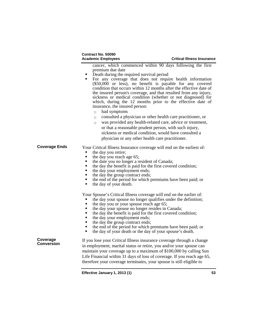| Contract No. 50090        |  |
|---------------------------|--|
| <b>Academic Employees</b> |  |

cancer, which commenced within 90 days following the first **PEREDEN** PRIMA TO PERFECT PRIMA PERFECT PRIMA PRIMA PERFECT PRIMA PRIMA PRIMA PRIMA PRIMA PRIMA PRIMA PRIMA PRIMA PRIMA PRIMA PRIMA PRIMA PRIMA PRIMA PRIMA PRIMA PRIMA PRIMA PRIMA PRIMA PRIMA PRIMA PRIMA PRIMA PRIMA PRIMA

- 
- For any coverage that does not require health information (\$50,000 or less), no benefit is payable for any covered condition that occurs within 12 months after the effective date of the insured person's coverage, and that resulted from any injury, sickness or medical condition (whether or not diagnosed) for which, during the 12 months prior to the effective date of insurance, the insured person:
	- $\Box$  had symptoms
	- $\Box$  consulted a physician or other health care practitioner, or
	- $\Box$  was provided any health-related care, advice or treatment, or that a reasonable prudent person, with such injury, sickness or medical condition, would have consulted a physician or any other health care practitioner.

# **Coverage Ends** Your Critical Illness Insurance coverage will end on the earliest of:<br>the day you retire;

- 
- the day you reach age 65;<br>the date you no longer a re
- the date you no longer a resident of Canada;
- the day the benefit is paid for the first covered condition;
- $\blacksquare$  the day your employment ends;<br> $\blacksquare$  the day the group contract ends:
- the day the group contract ends;
- the end of the period for which premiums have been paid; or the day of your death.
- the day of your death.

Your Spouse's Critical Illness coverage will end on the earlier of:

- the day your spouse no longer qualifies under the definition;<br>
 the day you or your spouse reach age 65;<br>
 the day your spouse no longer resides in Canada;
- 
- the day your spouse no longer resides in Canada;<br>the day the benefit is paid for the first covered co-
- the day the benefit is paid for the first covered condition;<br>
 the day your employment ends;<br>
 the day the group contract ends;
- 
- $\bullet$  the day the group contract ends;<br>the end of the period for which r
- the end of the period for which premiums have been paid; or the day of your spouse's death
- the day of your death or the day of your spouse's death.

**Coverage** 

If you lose your Critical Illness insurance coverage through a change in employment, marital status or retire, you and/or your spouse can maintain your coverage up to a maximum of \$100,000 by calling Sun Life Financial within 31 days of loss of coverage. If you reach age 65, therefore your coverage terminates, your spouse is still eligible to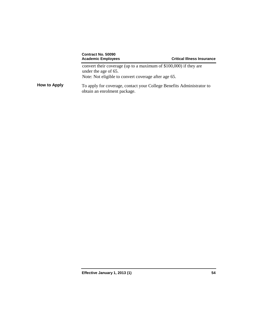|                     | Contract No. 50090<br><b>Academic Employees</b>                                                                                                   | <b>Critical Illness Insurance</b> |
|---------------------|---------------------------------------------------------------------------------------------------------------------------------------------------|-----------------------------------|
|                     | convert their coverage (up to a maximum of \$100,000) if they are<br>under the age of 65.<br>Note: Not eligible to convert coverage after age 65. |                                   |
| <b>How to Apply</b> | To apply for coverage, contact your College Benefits Administrator to<br>obtain an enrolment package.                                             |                                   |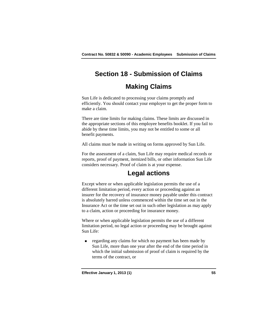# **Section 18 - Submission of Claims**

# **Making Claims**

Sun Life is dedicated to processing your claims promptly and efficiently. You should contact your employer to get the proper form to make a claim.

There are time limits for making claims. These limits are discussed in the appropriate sections of this employee benefits booklet. If you fail to abide by these time limits, you may not be entitled to some or all benefit payments.

All claims must be made in writing on forms approved by Sun Life.

For the assessment of a claim, Sun Life may require medical records or reports, proof of payment, itemized bills, or other information Sun Life considers necessary. Proof of claim is at your expense.

# **Legal actions**

Except where or when applicable legislation permits the use of a different limitation period, every action or proceeding against an insurer for the recovery of insurance money payable under this contract is absolutely barred unless commenced within the time set out in the Insurance Act or the time set out in such other legislation as may apply to a claim, action or proceeding for insurance money.

Where or when applicable legislation permits the use of a different limitation period, no legal action or proceeding may be brought against Sun Life:

regarding any claims for which no payment has been made by Sun Life, more than one year after the end of the time period in which the initial submission of proof of claim is required by the terms of the contract, or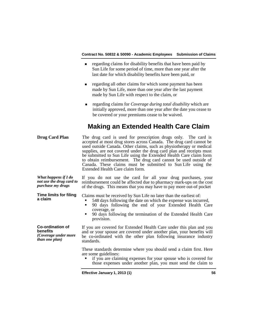- **regarding claims for disability benefits that have been paid by** Sun Life for some period of time, more than one year after the last date for which disability benefits have been paid, or
- **regarding all other claims for which some payment has been** made by Sun Life, more than one year after the last payment made by Sun Life with respect to the claim, or
- regarding claims for *Coverage during total disability* which are initially approved, more than one year after the date you cease to be covered or your premiums cease to be waived.

# **Making an Extended Health Care Claim**

| <b>Drug Card Plan</b>                                                         | The drug card is used for prescription drugs only. The card is<br>accepted at most drug stores across Canada. The drug card cannot be<br>used outside Canada. Other claims, such as physiotherapy or medical<br>supplies, are not covered under the drug card plan and receipts must<br>be submitted to Sun Life using the Extended Health Care claim form<br>to obtain reimbursement. The drug card cannot be used outside of<br>Canada. These claims must be submitted to Sun Life using the<br>Extended Health Care claim form. |
|-------------------------------------------------------------------------------|------------------------------------------------------------------------------------------------------------------------------------------------------------------------------------------------------------------------------------------------------------------------------------------------------------------------------------------------------------------------------------------------------------------------------------------------------------------------------------------------------------------------------------|
| What happens if I do<br>not use the drug card to<br>purchase my drugs         | If you do not use the card for all your drug purchases, your<br>reimbursement could be affected due to pharmacy mark-ups on the cost<br>of the drugs. This means that you may have to pay more out-of pocket                                                                                                                                                                                                                                                                                                                       |
| <b>Time limits for filing</b><br>a claim                                      | Claims must be received by Sun Life no later than the earliest of:<br>548 days following the date on which the expense was incurred,<br>90 days following the end of your Extended Health Care<br>п<br>coverage, or<br>90 days following the termination of the Extended Health Care<br>provision.                                                                                                                                                                                                                                 |
| Co-ordination of<br>benefits<br>(Coverage under more<br><i>than one plan)</i> | If you are covered for Extended Health Care under this plan and you<br>and or your spouse are covered under another plan, your benefits will<br>be co-ordinated with the other plan following insurance industry<br>standards.                                                                                                                                                                                                                                                                                                     |
|                                                                               | These standards determine where you should send a claim first. Here<br>are some guidelines:<br>if you are claiming expenses for your spouse who is covered for<br>those expenses under another plan, you must send the claim to                                                                                                                                                                                                                                                                                                    |
|                                                                               |                                                                                                                                                                                                                                                                                                                                                                                                                                                                                                                                    |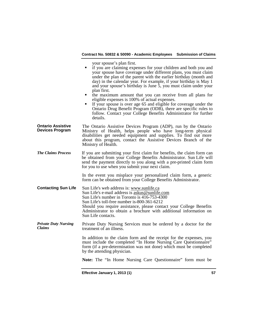your spouse's plan first. if you are claiming expenses for your children and both you and your spouse have coverage under different plans, you must claim under the plan of the parent with the earlier birthday (month and day) in the calendar year. For example, if your birthday is May 1 and your spouse's birthday is June 5, you must claim under your plan first. the maximum amount that you can receive from all plans for eligible expenses is 100% of actual expenses. If your spouse is over age 65 and eligible for coverage under the Ontario Drug Benefit Program (ODB), there are specific rules to follow. Contact your College Benefits Administrator for further details. **Ontario Assistive Devices Program** The Ontario Assistive Devices Program (ADP), run by the Ontario Ministry of Health, helps people who have long-term physical disabilities get needed equipment and supplies. To find out more about this program, contact the Assistive Devices Branch of the Ministry of Health. *The Claims Process* If you are submitting your first claim for benefits, the claim form can be obtained from your College Benefits Administrator. Sun Life will send the payment directly to you along with a pre-printed claim form for you to use when you submit your next claim. In the event you misplace your personalized claim form, a generic form can be obtained from your College Benefits Administrator. **Contacting Sun Life** Sun Life's web address is: [www.sunlife.ca](http://www.sunlife.ca/) Sun Life's e-mail address is [askus@sunlife.com](mailto:askus@sunlife.com) Sun Life's number in Toronto is 416-753-4300 Sun Life's toll-free number is-800-361-6212 Should you require assistance, please contact your College Benefits Administrator to obtain a brochure with additional information on Sun Life contacts. *Private Duty Nursing*  Private Duty Nursing Services must be ordered by a doctor for the treatment of an illness. In addition to the claim form and the receipt for the expenses, you must include the completed "In Home Nursing Care Questionnaire" form (if a pre-determination was not done) which must be completed by the attending physician. **Note:** The "In Home Nursing Care Questionnaire" form must be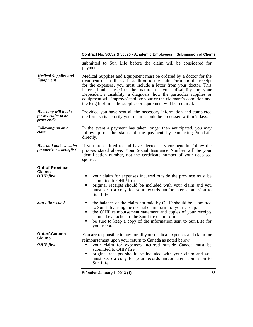|          | submitted to Sun Life before the claim will be considered for<br>payment.                                                                    |  |
|----------|----------------------------------------------------------------------------------------------------------------------------------------------|--|
| lies and | Medical Supplies and Equipment must be ordered by a doctor for the<br>treatment of an illness. In addition to the alaim form and the resolut |  |

*Medical Suppl*<br>Equipment *Medical Supplies and* Medical Supplies and Equipment must be ordered by a doctor for the *Equipment* treatment of an illness. In addition to the claim form and the receipt for the expenses, you must include a letter from your doctor. This letter should describe the nature of your disability or your Dependent's disability, a diagnosis, how the particular supplies or equipment will improve/stabilize your or the claimant's condition and the length of time the supplies or equipment will be required.

*How long will it take for my claim to be processed?* Provided you have sent all the necessary information and completed the form satisfactorily your claim should be processed within 7 days.

*Following up on a claim* In the event a payment has taken longer than anticipated, you may follow-up on the status of the payment by contacting Sun Life directly.

*How do I make a claim flow do I make a claim* If you are entitled to and have elected survivor benefits follow the for survivor's benefits? process stated above. Your Social Insurance Number will be your Identification number, not the certificate number of your deceased spouse.

| <b>Out-of-Province</b><br><b>Claims</b><br><b>OHIP</b> first | your claim for expenses incurred outside the province must be<br>submitted to OHIP first.<br>original receipts should be included with your claim and you<br>must keep a copy for your records and/or later submission to<br>Sun Life.                                                                                                                                 |
|--------------------------------------------------------------|------------------------------------------------------------------------------------------------------------------------------------------------------------------------------------------------------------------------------------------------------------------------------------------------------------------------------------------------------------------------|
| <b>Sun Life second</b>                                       | the balance of the claim not paid by OHIP should be submitted<br>to Sun Life, using the normal claim form for your Group.<br>the OHIP reimbursement statement and copies of your receipts<br>should be attached to the Sun Life claim form.<br>be sure to keep a copy of the information sent to Sun Life for<br>your records.                                         |
| <b>Out-of-Canada</b><br><b>Claims</b><br><b>OHIP</b> first   | You are responsible to pay for all your medical expenses and claim for<br>reimbursement upon your return to Canada as noted below.<br>your claim for expenses incurred outside Canada must be<br>submitted to OHIP first.<br>original receipts should be included with your claim and you<br>must keep a copy for your records and/or later submission to<br>Sun Life. |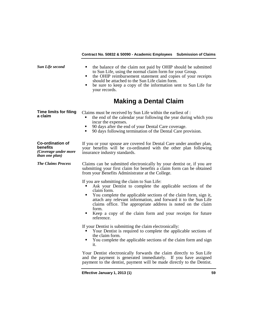|                                                                                       | Contract No. 50832 & 50090 - Academic Employees Submission of Claims                                                                                                                                                                                                                                                                                                                                                        |    |
|---------------------------------------------------------------------------------------|-----------------------------------------------------------------------------------------------------------------------------------------------------------------------------------------------------------------------------------------------------------------------------------------------------------------------------------------------------------------------------------------------------------------------------|----|
| <b>Sun Life second</b>                                                                | the balance of the claim not paid by OHIP should be submitted<br>to Sun Life, using the normal claim form for your Group.<br>the OHIP reimbursement statement and copies of your receipts<br>٠<br>should be attached to the Sun Life claim form.<br>be sure to keep a copy of the information sent to Sun Life for<br>٠<br>your records.                                                                                    |    |
|                                                                                       | <b>Making a Dental Claim</b>                                                                                                                                                                                                                                                                                                                                                                                                |    |
| <b>Time limits for filing</b><br>a claim                                              | Claims must be received by Sun Life within the earliest of :<br>the end of the calendar year following the year during which you<br>incur the expenses.<br>90 days after the end of your Dental Care coverage.<br>90 days following termination of the Dental Care provision.<br>٠                                                                                                                                          |    |
| <b>Co-ordination of</b><br>benefits<br>(Coverage under more<br><i>than one plan</i> ) | If you or your spouse are covered for Dental Care under another plan,<br>your benefits will be co-ordinated with the other plan following<br>insurance industry standards.                                                                                                                                                                                                                                                  |    |
| <b>The Claims Process</b>                                                             | Claims can be submitted electronically by your dentist or, if you are<br>submitting your first claim for benefits a claim form can be obtained<br>from your Benefits Administrator at the College.                                                                                                                                                                                                                          |    |
|                                                                                       | If you are submitting the claim to Sun Life:<br>Ask your Dentist to complete the applicable sections of the<br>claim form.<br>You complete the applicable sections of the claim form, sign it,<br>٠<br>attach any relevant information, and forward it to the Sun Life<br>claims office. The appropriate address is noted on the claim<br>form.<br>Keep a copy of the claim form and your receipts for future<br>reference. |    |
|                                                                                       | If your Dentist is submitting the claim electronically:<br>Your Dentist is required to complete the applicable sections of<br>the claim form.<br>You complete the applicable sections of the claim form and sign<br>it.                                                                                                                                                                                                     |    |
|                                                                                       | Your Dentist electronically forwards the claim directly to Sun Life<br>and the payment is generated immediately. If you have assigned<br>payment to the dentist, payment will be made directly to the Dentist.                                                                                                                                                                                                              |    |
|                                                                                       | Effective January 1, 2013 (1)                                                                                                                                                                                                                                                                                                                                                                                               | 59 |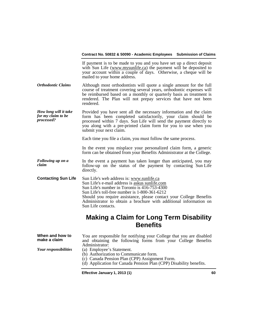|                                                           | If payment is to be made to you and you have set up a direct deposit<br>with Sun Life (www.mysunlife.ca) the payment will be deposited to<br>your account within a couple of days. Otherwise, a cheque will be<br>mailed to your home address.                                                                                                                 |
|-----------------------------------------------------------|----------------------------------------------------------------------------------------------------------------------------------------------------------------------------------------------------------------------------------------------------------------------------------------------------------------------------------------------------------------|
| <b>Orthodontic Claims</b>                                 | Although most orthodontists will quote a single amount for the full<br>course of treatment covering several years, orthodontic expenses will<br>be reimbursed based on a monthly or quarterly basis as treatment is<br>rendered. The Plan will not prepay services that have not been<br>rendered.                                                             |
| How long will it take<br>for my claim to be<br>processed? | Provided you have sent all the necessary information and the claim<br>form has been completed satisfactorily, your claim should be<br>processed within 7 days. Sun Life will send the payment directly to<br>you along with a pre-printed claim form for you to use when you<br>submit your next claim.                                                        |
|                                                           | Each time you file a claim, you must follow the same process.                                                                                                                                                                                                                                                                                                  |
|                                                           | In the event you misplace your personalized claim form, a generic<br>form can be obtained from your Benefits Administrator at the College.                                                                                                                                                                                                                     |
| Following up on a<br>claim                                | In the event a payment has taken longer than anticipated, you may<br>follow-up on the status of the payment by contacting Sun Life<br>directly.                                                                                                                                                                                                                |
| <b>Contacting Sun Life</b>                                | Sun Life's web address is: www.sunlife.ca<br>Sun Life's e-mail address is askus sunlife.com<br>Sun Life's number in Toronto is 416-753-4300<br>Sun Life's toll-free number is 1-800-361-6212<br>Should you require assistance, please contact your College Benefits<br>Administrator to obtain a brochure with additional information on<br>Sun Life contacts. |
|                                                           | <b>Making a Claim for Long Term Disability</b><br><b>Benefits</b>                                                                                                                                                                                                                                                                                              |
| When and how to<br>make a claim<br>Your responsibilities  | You are responsible for notifying your College that you are disabled<br>and obtaining the following forms from your College Benefits<br>Administrator:<br>(a) Employee's Statement.<br>(b) Authorization to Communicate form.<br>(c) Canada Pension Plan (CPP) Assignment Form.<br>(d) Application for Canada Pension Plan (CPP) Disability benefits.          |
|                                                           |                                                                                                                                                                                                                                                                                                                                                                |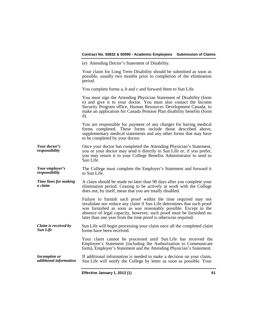#### **Contract No. 50832 & 50090 - Academic Employees Submission of Claims** (e) Attending Doctor's Statement of Disability. Your claim for Long Term Disability should be submitted as soon as possible, usually two months prior to completion of the elimination period. You complete forms a, b and c and forward them to Sun Life. You must sign the Attending Physician Statement of Disability (form e) and give it to your doctor. You must also contact the Income Security Program office, Human Resources Development Canada, to make an application for Canada Pension Plan disability benefits (form d). You are responsible for payment of any charges for having medical forms completed. These forms include those described above, supplementary medical statements and any other forms that may have to be completed by your doctor. *Your doctor's*  Once your doctor has completed the Attending Physician's Statement, you or your doctor may send it directly to Sun Life or, if you prefer, you may return it to your College Benefits Administrator to send to Sun Life. *Your employer's*  The College must complete the Employer's Statement and forward it to Sun Life. *Time lines for making a claim* A claim should be made no later than 90 days after you complete your elimination period. Ceasing to be actively at work with the College does not, by itself, mean that you are totally disabled. Failure to furnish such proof within the time required may not invalidate nor reduce any claim if Sun Life determines that such proof was furnished as soon as was reasonably possible. Except in the absence of legal capacity, however, such proof must be furnished no later than one year from the time proof is otherwise required. *Claim is received by Sun Life* Sun Life will begin processing your claim once all the completed claim forms have been received. Your claim cannot be processed until Sun Life has received the Employee's Statement (including the Authorization to Communicate form), Employer's Statement and the Attending Physician's Statement. *Incomplete or additional information* If additional information is needed to make a decision on your claim, Sun Life will notify the College by letter as soon as possible. Your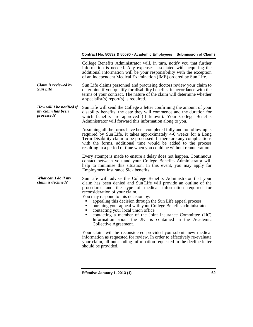|                                                              | College Benefits Administrator will, in turn, notify you that further<br>information is needed. Any expenses associated with acquiring the<br>additional information will be your responsibility with the exception<br>of an Independent Medical Examination (IME) ordered by Sun Life.                                                                                                                                                                                                                                                                                                                                                                                                                                                                                                                                                                                |
|--------------------------------------------------------------|------------------------------------------------------------------------------------------------------------------------------------------------------------------------------------------------------------------------------------------------------------------------------------------------------------------------------------------------------------------------------------------------------------------------------------------------------------------------------------------------------------------------------------------------------------------------------------------------------------------------------------------------------------------------------------------------------------------------------------------------------------------------------------------------------------------------------------------------------------------------|
| Claim is reviewed by<br><b>Sun Life</b>                      | Sun Life claims personnel and practising doctors review your claim to<br>determine if you qualify for disability benefits, in accordance with the<br>terms of your contract. The nature of the claim will determine whether<br>a specialist(s) report(s) is required.                                                                                                                                                                                                                                                                                                                                                                                                                                                                                                                                                                                                  |
| How will I be notified if<br>my claim has been<br>processed? | Sun Life will send the College a letter confirming the amount of your<br>disability benefits, the date they will commence and the duration for<br>which benefits are approved (if known). Your College Benefits<br>Administrator will forward this information along to you.                                                                                                                                                                                                                                                                                                                                                                                                                                                                                                                                                                                           |
|                                                              | Assuming all the forms have been completed fully and no follow-up is<br>required by Sun Life, it takes approximately 4-6 weeks for a Long<br>Term Disability claim to be processed. If there are any complications<br>with the forms, additional time would be added to the process<br>resulting in a period of time when you could be without remuneration.                                                                                                                                                                                                                                                                                                                                                                                                                                                                                                           |
|                                                              | Every attempt is made to ensure a delay does not happen. Continuous<br>contact between you and your College Benefits Administrator will<br>help to minimise this situation. In this event, you may apply for<br>Employment Insurance Sick benefits.                                                                                                                                                                                                                                                                                                                                                                                                                                                                                                                                                                                                                    |
| What can I do if my<br>claim is declined?                    | Sun Life will advise the College Benefits Administrator that your<br>claim has been denied and Sun Life will provide an outline of the<br>procedures and the type of medical information required for<br>reconsideration of your claim.<br>You may respond to this decision by:<br>appealing this decision through the Sun Life appeal process<br>pursuing your appeal with your College Benefits administrator<br>٠<br>contacting your local union office<br>٠<br>contacting a member of the Joint Insurance Committee (JIC)<br>٠<br>Information about the JIC is contained in the Academic<br>Collective Agreement.<br>Your claim will be reconsidered provided you submit new medical<br>information as requested for review. In order to effectively re-evaluate<br>your claim, all outstanding information requested in the decline letter<br>should be provided. |
|                                                              |                                                                                                                                                                                                                                                                                                                                                                                                                                                                                                                                                                                                                                                                                                                                                                                                                                                                        |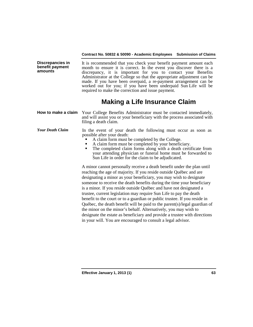**Discrepancies in benefit payment amounts**

It is recommended that you check your benefit payment amount each month to ensure it is correct. In the event you discover there is a discrepancy, it is important for you to contact your Benefits Administrator at the College so that the appropriate adjustment can be made. If you have been overpaid, a re-payment arrangement can be worked out for you; if you have been underpaid Sun Life will be required to make the correction and issue payment.

# **Making a Life Insurance Claim**

| How to make a claim Your College Benefits Administrator must be contacted immediately, |
|----------------------------------------------------------------------------------------|
| and will assist you or your beneficiary with the process associated with               |
| filing a death claim.                                                                  |

#### *Your Death Claim* In the event of your death the following must occur as soon as possible after your death:

- A claim form must be completed by the College.<br>A claim form must be completed by your beneficiary.
- 
- The completed claim forms along with a death certificate from your attending physician or funeral home must be forwarded to Sun Life in order for the claim to be adjudicated.

A minor cannot personally receive a death benefit under the plan until reaching the age of majority. If you reside outside Québec and are designating a minor as your beneficiary, you may wish to designate someone to receive the death benefits during the time your beneficiary is a minor. If you reside outside Québec and have not designated a trustee, current legislation may require Sun Life to pay the death benefit to the court or to a guardian or public trustee. If you reside in Québec, the death benefit will be paid to the parent(s)/legal guardian of the minor on the minor's behalf. Alternatively, you may wish to designate the estate as beneficiary and provide a trustee with directions in your will. You are encouraged to consult a legal advisor.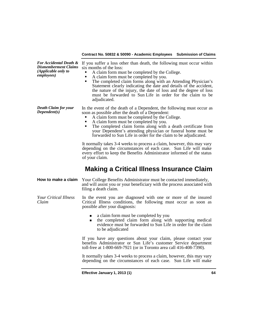| <b>For Accidental Death &amp;</b><br><b>Dismemberment Claims</b><br>(Applicable only to<br><i>employees</i> ) | If you suffer a loss other than death, the following must occur within<br>six months of the loss:<br>A claim form must be completed by the College.<br>A claim form must be completed by you.<br>The completed claim forms along with an Attending Physician's<br>Statement clearly indicating the date and details of the accident,<br>the nature of the injury, the date of loss and the degree of loss<br>must be forwarded to Sun Life in order for the claim to be<br>adjudicated.                                                                                                                                                                                                                                |
|---------------------------------------------------------------------------------------------------------------|------------------------------------------------------------------------------------------------------------------------------------------------------------------------------------------------------------------------------------------------------------------------------------------------------------------------------------------------------------------------------------------------------------------------------------------------------------------------------------------------------------------------------------------------------------------------------------------------------------------------------------------------------------------------------------------------------------------------|
| <b>Death Claim for your</b><br>Dependent(s)                                                                   | In the event of the death of a Dependent, the following must occur as<br>soon as possible after the death of a Dependent:<br>A claim form must be completed by the College.<br>A claim form must be completed by you.<br>The completed claim forms along with a death certificate from<br>your Dependent's attending physician or funeral home must be<br>forwarded to Sun Life in order for the claim to be adjudicated.<br>It normally takes 3-4 weeks to process a claim, however, this may vary<br>depending on the circumstances of each case. Sun Life will make<br>every effort to keep the Benefits Administrator informed of the status<br>of your claim.<br><b>Making a Critical Illness Insurance Claim</b> |
|                                                                                                               |                                                                                                                                                                                                                                                                                                                                                                                                                                                                                                                                                                                                                                                                                                                        |
| How to make a claim                                                                                           | Your College Benefits Administrator must be contacted immediately,<br>and will assist you or your beneficiary with the process associated with<br>filing a death claim.                                                                                                                                                                                                                                                                                                                                                                                                                                                                                                                                                |
| <b>Your Critical Illness</b><br>Claim                                                                         | In the event you are diagnosed with one or more of the insured<br>Critical Illness conditions, the following must occur as soon as<br>possible after your diagnosis:                                                                                                                                                                                                                                                                                                                                                                                                                                                                                                                                                   |
|                                                                                                               | a claim form must be completed by you<br>the completed claim form along with supporting medical<br>$\blacksquare$<br>evidence must be forwarded to Sun Life in order for the claim<br>to be adjudicated                                                                                                                                                                                                                                                                                                                                                                                                                                                                                                                |
|                                                                                                               | If you have any questions about your claim, please contact your<br>benefits Administrator or Sun Life's customer Service department<br>toll-free at 1-800-669-7921 (or in Toronto area call 416-408-7390).                                                                                                                                                                                                                                                                                                                                                                                                                                                                                                             |
|                                                                                                               | It normally takes 3-4 weeks to process a claim, however, this may vary<br>depending on the circumstances of each case. Sun Life will make                                                                                                                                                                                                                                                                                                                                                                                                                                                                                                                                                                              |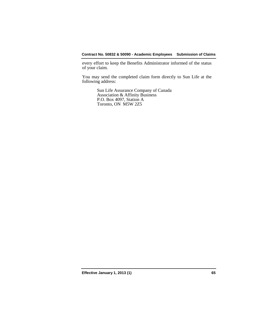every effort to keep the Benefits Administrator informed of the status of your claim.

You may send the completed claim form directly to Sun Life at the following address:

> Sun Life Assurance Company of Canada Association & Affinity Business P.O. Box 4097, Station A Toronto, ON M5W 2Z5